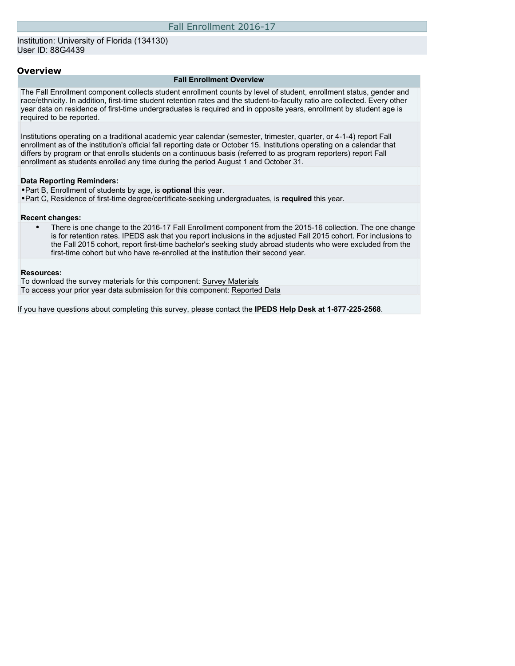#### **Overview**

#### **Fall Enrollment Overview**

The Fall Enrollment component collects student enrollment counts by level of student, enrollment status, gender and race/ethnicity. In addition, first-time student retention rates and the student-to-faculty ratio are collected. Every other year data on residence of first-time undergraduates is required and in opposite years, enrollment by student age is required to be reported.

Institutions operating on a traditional academic year calendar (semester, trimester, quarter, or 4-1-4) report Fall enrollment as of the institution's official fall reporting date or October 15. Institutions operating on a calendar that differs by program or that enrolls students on a continuous basis (referred to as program reporters) report Fall enrollment as students enrolled any time during the period August 1 and October 31.

#### **Data Reporting Reminders:**

- •Part B, Enrollment of students by age, is **optional** this year.
- •Part C, Residence of first-time degree/certificate-seeking undergraduates, is **required** this year.

#### **Recent changes:**

• There is one change to the 2016-17 Fall Enrollment component from the 2015-16 collection. The one change is for retention rates. IPEDS ask that you report inclusions in the adjusted Fall 2015 cohort. For inclusions to the Fall 2015 cohort, report first-time bachelor's seeking study abroad students who were excluded from the first-time cohort but who have re-enrolled at the institution their second year.

#### **Resources:**

To download the survey materials for this component: [Survey Materials](https://surveys.nces.ed.gov/ipeds/VisIndex.aspx) To access your prior year data submission for this component: [Reported Data](http://192.168.102.153/IPEDS/PriorYearDataRedirect.aspx?survey_id=6)

If you have questions about completing this survey, please contact the **IPEDS Help Desk at 1-877-225-2568**.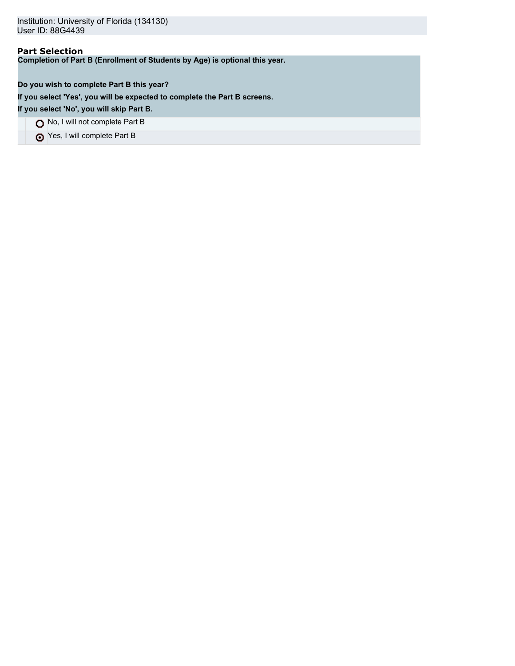# **Part Selection**

**Completion of Part B (Enrollment of Students by Age) is optional this year.**

**Do you wish to complete Part B this year?**

**If you select 'Yes', you will be expected to complete the Part B screens.**

**If you select 'No', you will skip Part B.**

No, I will not complete Part B

Yes, I will complete Part B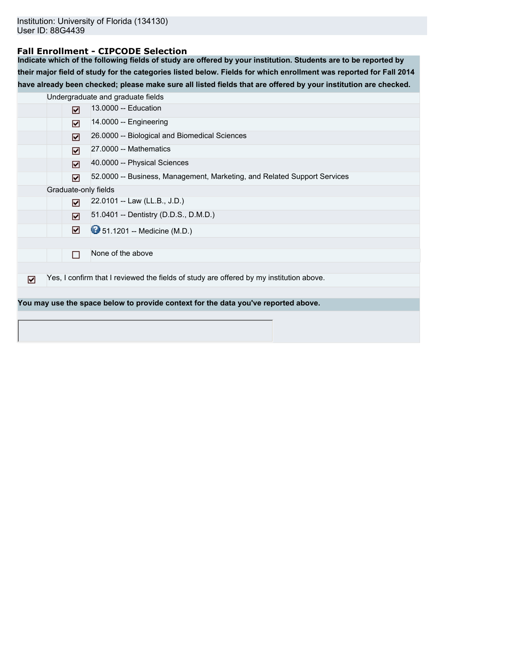### **Fall Enrollment - CIPCODE Selection**

**Indicate which of the following fields of study are offered by your institution. Students are to be reported by their major field of study for the categories listed below. Fields for which enrollment was reported for Fall 2014 have already been checked; please make sure all listed fields that are offered by your institution are checked.**

|   |                      | Undergraduate and graduate fields                                                       |
|---|----------------------|-----------------------------------------------------------------------------------------|
|   | ☑                    | 13.0000 -- Education                                                                    |
|   | ☑                    | 14.0000 -- Engineering                                                                  |
|   | ☑                    | 26.0000 -- Biological and Biomedical Sciences                                           |
|   | ☑                    | 27.0000 -- Mathematics                                                                  |
|   | ☑                    | 40.0000 -- Physical Sciences                                                            |
|   | ☑                    | 52.0000 -- Business, Management, Marketing, and Related Support Services                |
|   | Graduate-only fields |                                                                                         |
|   | ☑                    | 22.0101 -- Law (LL.B., J.D.)                                                            |
|   | ☑                    | 51.0401 -- Dentistry (D.D.S., D.M.D.)                                                   |
|   | ☑                    | <b>9</b> 51.1201 -- Medicine (M.D.)                                                     |
|   |                      |                                                                                         |
|   | П                    | None of the above                                                                       |
|   |                      |                                                                                         |
| ☑ |                      | Yes, I confirm that I reviewed the fields of study are offered by my institution above. |
|   |                      |                                                                                         |
|   |                      | You may use the space below to provide context for the data you've reported above.      |
|   |                      |                                                                                         |
|   |                      |                                                                                         |
|   |                      |                                                                                         |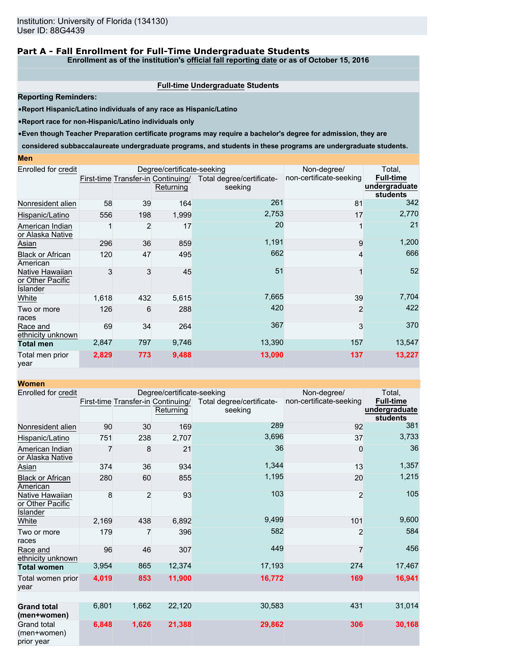## **Part A - Fall Enrollment for Full-Time Undergraduate Students**

**Enrollment as of the institution's official fall reporting date or as of October 15, 2016**

#### **Full-time Undergraduate Students**

**Reporting Reminders:**

•**Report Hispanic/Latino individuals of any race as Hispanic/Latino**

•**Report race for non-Hispanic/Latino individuals only**

•**Even though Teacher Preparation certificate programs may require a bachelor's degree for admission, they are**

**considered subbaccalaureate undergraduate programs, and students in these programs are undergraduate students.**

| Enrolled for credit                                    |       |     | Degree/certificate-seeking                      |                                      | Non-degree/             | Total,                                               |
|--------------------------------------------------------|-------|-----|-------------------------------------------------|--------------------------------------|-------------------------|------------------------------------------------------|
|                                                        |       |     | First-time Transfer-in Continuing/<br>Returning | Total degree/certificate-<br>seeking | non-certificate-seeking | <b>Full-time</b><br>undergraduate<br><b>students</b> |
| Nonresident alien                                      | 58    | 39  | 164                                             | 261                                  | 81                      | 342                                                  |
| Hispanic/Latino                                        | 556   | 198 | 1,999                                           | 2,753                                | 17                      | 2,770                                                |
| American Indian<br>or Alaska Native                    |       | 2   | 17                                              | 20                                   |                         | 21                                                   |
| Asian                                                  | 296   | 36  | 859                                             | 1,191                                | 9                       | 1,200                                                |
| <b>Black or African</b><br>American                    | 120   | 47  | 495                                             | 662                                  | 4                       | 666                                                  |
| Native Hawaiian<br>or Other Pacific<br><b>Islander</b> | 3     | 3   | 45                                              | 51                                   |                         | 52                                                   |
| White                                                  | 1,618 | 432 | 5,615                                           | 7,665                                | 39                      | 7,704                                                |
| Two or more<br>races                                   | 126   | 6   | 288                                             | 420                                  | $\overline{2}$          | 422                                                  |
| Race and<br>ethnicity unknown                          | 69    | 34  | 264                                             | 367                                  | 3                       | 370                                                  |
| <b>Total men</b>                                       | 2,847 | 797 | 9,746                                           | 13,390                               | 157                     | 13,547                                               |
| Total men prior<br>year                                | 2,829 | 773 | 9,488                                           | 13,090                               | 137                     | 13,227                                               |

| <b>Women</b>                                           |       |                |                                                 |                                      |                         |                                                      |
|--------------------------------------------------------|-------|----------------|-------------------------------------------------|--------------------------------------|-------------------------|------------------------------------------------------|
| Enrolled for credit                                    |       |                | Degree/certificate-seeking                      | Non-degree/                          | Total,                  |                                                      |
|                                                        |       |                | First-time Transfer-in Continuing/<br>Returning | Total degree/certificate-<br>seeking | non-certificate-seeking | <b>Full-time</b><br>undergraduate<br><b>students</b> |
| Nonresident alien                                      | 90    | 30             | 169                                             | 289                                  | 92                      | 381                                                  |
| Hispanic/Latino                                        | 751   | 238            | 2,707                                           | 3,696                                | 37                      | 3,733                                                |
| American Indian<br>or Alaska Native                    |       | 8              | 21                                              | 36                                   | 0                       | 36                                                   |
| <b>Asian</b>                                           | 374   | 36             | 934                                             | 1,344                                | 13                      | 1,357                                                |
| <b>Black or African</b><br>American                    | 280   | 60             | 855                                             | 1,195                                | 20                      | 1,215                                                |
| Native Hawaiian<br>or Other Pacific<br><b>Islander</b> | 8     | $\overline{2}$ | 93                                              | 103                                  | $\overline{2}$          | 105                                                  |
| White                                                  | 2,169 | 438            | 6,892                                           | 9,499                                | 101                     | 9,600                                                |
| Two or more<br>races                                   | 179   | 7              | 396                                             | 582                                  | 2                       | 584                                                  |
| Race and<br>ethnicity unknown                          | 96    | 46             | 307                                             | 449                                  | 7                       | 456                                                  |
| <b>Total women</b>                                     | 3,954 | 865            | 12,374                                          | 17,193                               | 274                     | 17,467                                               |
| Total women prior<br>year                              | 4,019 | 853            | 11,900                                          | 16,772                               | 169                     | 16,941                                               |
|                                                        |       |                |                                                 |                                      |                         |                                                      |
| <b>Grand total</b><br>(men+women)                      | 6,801 | 1,662          | 22,120                                          | 30,583                               | 431                     | 31,014                                               |
| <b>Grand total</b><br>(men+women)<br>prior year        | 6,848 | 1,626          | 21,388                                          | 29,862                               | 306                     | 30,168                                               |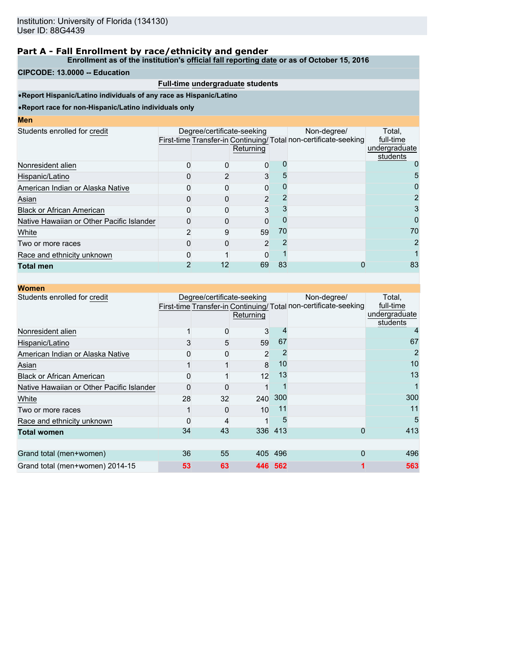**Enrollment as of the institution's official fall reporting date or as of October 15, 2016**

### **CIPCODE: 13.0000 -- Education**

### **Full-time undergraduate students**

•**Report Hispanic/Latino individuals of any race as Hispanic/Latino**

| I<br>ш<br>۱<br><b>Service Service</b> |  |  |
|---------------------------------------|--|--|
|                                       |  |  |

|                                           | Returning |                            | Non-degree/                                      | Total.<br>full-time<br>undergraduate                            |
|-------------------------------------------|-----------|----------------------------|--------------------------------------------------|-----------------------------------------------------------------|
|                                           |           |                            |                                                  | students<br>0                                                   |
|                                           |           |                            |                                                  | 5                                                               |
|                                           |           |                            |                                                  |                                                                 |
|                                           |           |                            |                                                  |                                                                 |
|                                           |           |                            |                                                  |                                                                 |
|                                           |           |                            |                                                  | 0                                                               |
| 9                                         |           | 70                         |                                                  | 70                                                              |
|                                           |           |                            |                                                  | 2                                                               |
|                                           |           |                            |                                                  |                                                                 |
| 12                                        |           | 83                         |                                                  | 83                                                              |
| Native Hawaiian or Other Pacific Islander |           | Degree/certificate-seeking | 0<br>3<br>0<br>2<br>3<br>0<br>59<br>2<br>ŋ<br>69 | First-time Transfer-in Continuing/Total non-certificate-seeking |

| <b>Women</b>                              |          |                            |           |         |                                                                                |                                                  |
|-------------------------------------------|----------|----------------------------|-----------|---------|--------------------------------------------------------------------------------|--------------------------------------------------|
| Students enrolled for credit              |          | Degree/certificate-seeking | Returning |         | Non-degree/<br>First-time Transfer-in Continuing/Total non-certificate-seeking | Total,<br>full-time<br>undergraduate<br>students |
| Nonresident alien                         |          | 0                          | 3         |         |                                                                                |                                                  |
| Hispanic/Latino                           |          | 5                          | 59        | 67      |                                                                                | 67                                               |
| American Indian or Alaska Native          |          |                            | 2         |         |                                                                                |                                                  |
| Asian                                     |          |                            | 8         | 10      |                                                                                | 10                                               |
| <b>Black or African American</b>          |          |                            | 12        | 13      |                                                                                | 13                                               |
| Native Hawaiian or Other Pacific Islander |          | $\Omega$                   |           |         |                                                                                |                                                  |
| White                                     | 28       | 32                         | 240       | 300     |                                                                                | 300                                              |
| Two or more races                         |          | $\Omega$                   | 10        | 11      |                                                                                | 11                                               |
| Race and ethnicity unknown                | $\Omega$ | 4                          |           | 5       |                                                                                | 5                                                |
| <b>Total women</b>                        | 34       | 43                         |           | 336 413 | 0                                                                              | 413                                              |
|                                           |          |                            |           |         |                                                                                |                                                  |
| Grand total (men+women)                   | 36       | 55                         |           | 405 496 | 0                                                                              | 496                                              |
| Grand total (men+women) 2014-15           | 53       | 63                         | 446.      | 562     |                                                                                | 563                                              |
|                                           |          |                            |           |         |                                                                                |                                                  |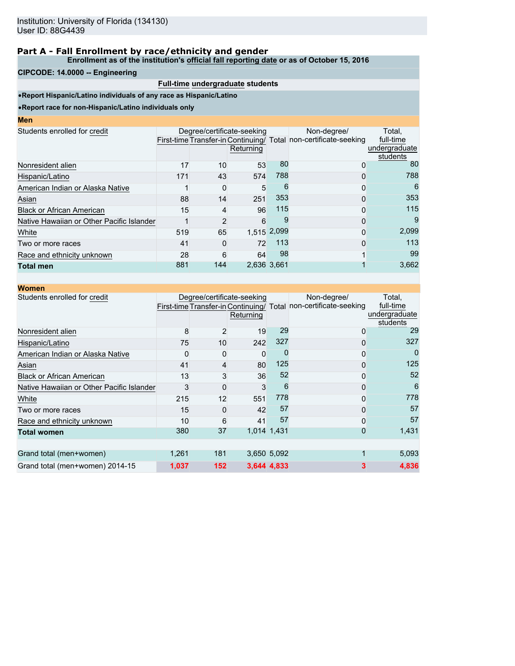#### **Enrollment as of the institution's official fall reporting date or as of October 15, 2016**

### **CIPCODE: 14.0000 -- Engineering**

**Men**

## **Full-time undergraduate students**

•**Report Hispanic/Latino individuals of any race as Hispanic/Latino**

|     |                                                                                                 |           |                             | Non-degree/                                                                  | Total.                                                                                                                       |
|-----|-------------------------------------------------------------------------------------------------|-----------|-----------------------------|------------------------------------------------------------------------------|------------------------------------------------------------------------------------------------------------------------------|
|     |                                                                                                 |           |                             |                                                                              | full-time                                                                                                                    |
|     |                                                                                                 |           |                             |                                                                              | undergraduate                                                                                                                |
|     |                                                                                                 |           |                             |                                                                              | students                                                                                                                     |
|     |                                                                                                 |           |                             |                                                                              | 80                                                                                                                           |
| 171 | 43                                                                                              |           |                             | 0                                                                            | 788                                                                                                                          |
|     | 0                                                                                               |           | 6                           | 0                                                                            | 6                                                                                                                            |
|     |                                                                                                 | 251       |                             | 0                                                                            | 353                                                                                                                          |
|     | 4                                                                                               |           |                             | 0                                                                            | 115                                                                                                                          |
|     | $\overline{2}$                                                                                  |           | 9                           | 0                                                                            | 9                                                                                                                            |
|     |                                                                                                 |           |                             | 0                                                                            | 2,099                                                                                                                        |
| 41  | $\Omega$                                                                                        | 72        |                             | $\Omega$                                                                     | 113                                                                                                                          |
|     | 6                                                                                               |           |                             | 4                                                                            | 99                                                                                                                           |
| 881 | 144                                                                                             |           |                             |                                                                              | 3,662                                                                                                                        |
|     | 17<br>American Indian or Alaska Native<br>88<br>15<br>Native Hawaiian or Other Pacific Islander | 519<br>28 | Returning<br>10<br>14<br>65 | Degree/certificate-seeking<br>53<br>574<br>5<br>96<br>6<br>64<br>2.636 3.661 | First-time Transfer-in Continuing/ Total non-certificate-seeking<br>80<br>0<br>788<br>353<br>115<br>1,515 2,099<br>113<br>98 |

| <b>Women</b>                              |       |     |                                         |             |                                                                                 |                                                  |
|-------------------------------------------|-------|-----|-----------------------------------------|-------------|---------------------------------------------------------------------------------|--------------------------------------------------|
| Students enrolled for credit              |       |     | Degree/certificate-seeking<br>Returning |             | Non-degree/<br>First-time Transfer-in Continuing/ Total non-certificate-seeking | Total,<br>full-time<br>undergraduate<br>students |
| Nonresident alien                         | 8     | 2   | 19                                      | 29          | 0                                                                               | 29                                               |
| Hispanic/Latino                           | 75    | 10  | 242                                     | 327         | 0                                                                               | 327                                              |
| American Indian or Alaska Native          |       | 0   | 0                                       |             | 0                                                                               |                                                  |
| Asian                                     | 41    | 4   | 80                                      | 125         | 0                                                                               | 125                                              |
| <b>Black or African American</b>          | 13    | 3   | 36                                      | 52          | 0                                                                               | 52                                               |
| Native Hawaiian or Other Pacific Islander | 3     | 0   | 3                                       | 6           | 0                                                                               | 6                                                |
| White                                     | 215   | 12  | 551                                     | 778         | 0                                                                               | 778                                              |
| Two or more races                         | 15    | 0   | 42                                      | 57          | 0                                                                               | 57                                               |
| Race and ethnicity unknown                | 10    | 6   | 41                                      | 57          | 0                                                                               | 57                                               |
| <b>Total women</b>                        | 380   | 37  |                                         | 1,014 1,431 | 0                                                                               | 1,431                                            |
|                                           |       |     |                                         |             |                                                                                 |                                                  |
| Grand total (men+women)                   | 1,261 | 181 |                                         | 3,650 5,092 |                                                                                 | 5,093                                            |
| Grand total (men+women) 2014-15           | 1,037 | 152 |                                         | 3,644 4,833 | 3                                                                               | 4,836                                            |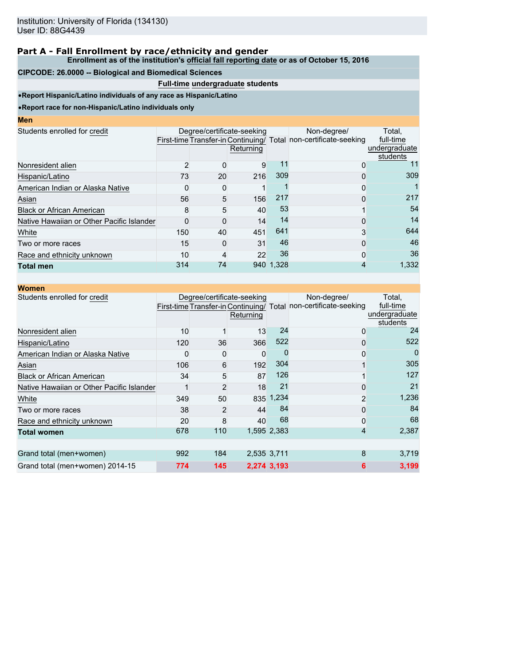#### **Enrollment as of the institution's official fall reporting date or as of October 15, 2016**

### **CIPCODE: 26.0000 -- Biological and Biomedical Sciences**

### **Full-time undergraduate students**

•**Report Hispanic/Latino individuals of any race as Hispanic/Latino**

•**Report race for non-Hispanic/Latino individuals only**

| мен                                       |     |    |                                         |           |                                                                                 |                                      |
|-------------------------------------------|-----|----|-----------------------------------------|-----------|---------------------------------------------------------------------------------|--------------------------------------|
| Students enrolled for credit              |     |    | Degree/certificate-seeking<br>Returning |           | Non-degree/<br>First-time Transfer-in Continuing/ Total non-certificate-seeking | Total,<br>full-time<br>undergraduate |
| Nonresident alien                         | 2   | 0  | 9                                       | 11        | 0                                                                               | students<br>11                       |
| Hispanic/Latino                           | 73  | 20 | 216                                     | 309       | 0                                                                               | 309                                  |
| American Indian or Alaska Native          |     | 0  |                                         |           | 0                                                                               |                                      |
| Asian                                     | 56  | 5  | 156                                     | 217       | 0                                                                               | 217                                  |
| <b>Black or African American</b>          |     | 5  | 40                                      | 53        |                                                                                 | 54                                   |
| Native Hawaiian or Other Pacific Islander |     | 0  | 14                                      | 14        | 0                                                                               | 14                                   |
| White                                     | 150 | 40 | 451                                     | 641       | 3                                                                               | 644                                  |
| Two or more races                         | 15  | 0  | 31                                      | 46        | 0                                                                               | 46                                   |
| Race and ethnicity unknown                | 10  | 4  | 22                                      | 36        | 0                                                                               | 36                                   |
| <b>Total men</b>                          | 314 | 74 |                                         | 940 1.328 |                                                                                 | 1,332                                |

| <b>Women</b>                              |     |     |                                         |             |                                                                                 |                                                  |
|-------------------------------------------|-----|-----|-----------------------------------------|-------------|---------------------------------------------------------------------------------|--------------------------------------------------|
| Students enrolled for credit              |     |     | Degree/certificate-seeking<br>Returning |             | Non-degree/<br>First-time Transfer-in Continuing/ Total non-certificate-seeking | Total,<br>full-time<br>undergraduate<br>students |
| Nonresident alien                         | 10  |     | 13                                      | 24          | 0                                                                               | 24                                               |
| Hispanic/Latino                           | 120 | 36  | 366                                     | 522         | 0                                                                               | 522                                              |
| American Indian or Alaska Native          |     | 0   | 0                                       |             | 0                                                                               |                                                  |
| Asian                                     | 106 | 6   | 192                                     | 304         |                                                                                 | 305                                              |
| <b>Black or African American</b>          | 34  | 5   | 87                                      | 126         |                                                                                 | 127                                              |
| Native Hawaiian or Other Pacific Islander |     | 2   | 18                                      | 21          | 0                                                                               | 21                                               |
| White                                     | 349 | 50  |                                         | 835 1,234   | $\overline{2}$                                                                  | 1,236                                            |
| Two or more races                         | 38  | 2   | 44                                      | 84          | 0                                                                               | 84                                               |
| Race and ethnicity unknown                | 20  | 8   | 40                                      | 68          | 0                                                                               | 68                                               |
| <b>Total women</b>                        | 678 | 110 |                                         | 1,595 2,383 | 4                                                                               | 2,387                                            |
|                                           |     |     |                                         |             |                                                                                 |                                                  |
| Grand total (men+women)                   | 992 | 184 |                                         | 2,535 3,711 | 8                                                                               | 3,719                                            |
| Grand total (men+women) 2014-15           | 774 | 145 |                                         | 2,274 3,193 | 6                                                                               | 3,199                                            |
|                                           |     |     |                                         |             |                                                                                 |                                                  |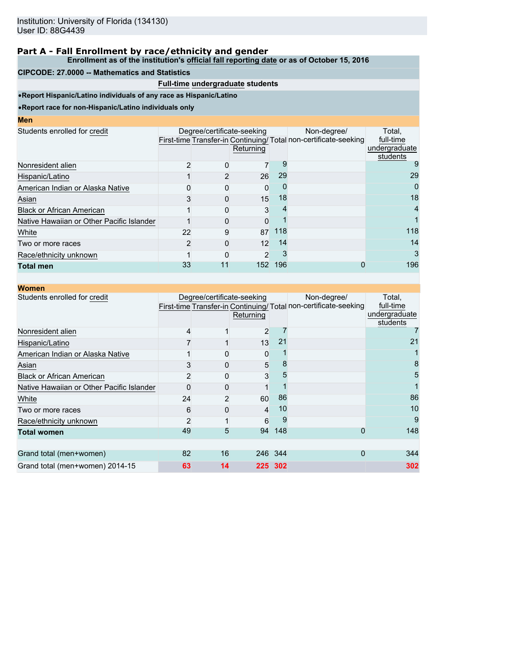**Enrollment as of the institution's official fall reporting date or as of October 15, 2016**

### **CIPCODE: 27.0000 -- Mathematics and Statistics**

## **Full-time undergraduate students**

•**Report Hispanic/Latino individuals of any race as Hispanic/Latino**

| I<br>ш<br>۱<br><b>Service Service</b> |  |  |
|---------------------------------------|--|--|
|                                       |  |  |

| Men                                       |    |                            |                |     |                                                                 |                           |
|-------------------------------------------|----|----------------------------|----------------|-----|-----------------------------------------------------------------|---------------------------|
| Students enrolled for credit              |    | Degree/certificate-seeking |                |     | Non-degree/                                                     | Total.                    |
|                                           |    |                            |                |     | First-time Transfer-in Continuing/Total non-certificate-seeking | full-time                 |
|                                           |    |                            | Returning      |     |                                                                 | undergraduate<br>students |
| Nonresident alien                         |    |                            |                |     |                                                                 | 9                         |
| Hispanic/Latino                           |    |                            | 26             | 29  |                                                                 | 29                        |
| American Indian or Alaska Native          |    |                            | 0              |     |                                                                 | 0                         |
| Asian                                     |    |                            | 15             | 18  |                                                                 | 18                        |
| <b>Black or African American</b>          |    |                            | 3              |     |                                                                 | 4                         |
| Native Hawaiian or Other Pacific Islander |    |                            | 0              |     |                                                                 |                           |
| White                                     | 22 | 9                          | 87             | 118 |                                                                 | 118                       |
| Two or more races                         |    |                            | 12             | 14  |                                                                 | 14                        |
| Race/ethnicity unknown                    |    |                            | $\overline{2}$ |     |                                                                 | 3                         |
| <b>Total men</b>                          | 33 | 11                         | 152            | 196 |                                                                 | 196                       |

| <b>Women</b>                              |                |                            |           |         |                                                                                |                                                  |
|-------------------------------------------|----------------|----------------------------|-----------|---------|--------------------------------------------------------------------------------|--------------------------------------------------|
| Students enrolled for credit              |                | Degree/certificate-seeking | Returning |         | Non-degree/<br>First-time Transfer-in Continuing/Total non-certificate-seeking | Total,<br>full-time<br>undergraduate<br>students |
| Nonresident alien                         | 4              |                            | 2         |         |                                                                                |                                                  |
| Hispanic/Latino                           |                |                            | 13        | 21      |                                                                                | 21                                               |
| American Indian or Alaska Native          |                |                            | 0         |         |                                                                                |                                                  |
| Asian                                     |                | $\Omega$                   | 5         | 8       |                                                                                | 8                                                |
| <b>Black or African American</b>          |                | 0                          | 3         | 5       |                                                                                | 5                                                |
| Native Hawaiian or Other Pacific Islander | 0              | $\Omega$                   |           |         |                                                                                |                                                  |
| White                                     | 24             | 2                          | 60        | 86      |                                                                                | 86                                               |
| Two or more races                         | 6              | $\Omega$                   | 4         | 10      |                                                                                | 10                                               |
| Race/ethnicity unknown                    | $\overline{2}$ |                            | 6         | 9       |                                                                                | 9                                                |
| <b>Total women</b>                        | 49             | 5                          | 94        | 148     | 0                                                                              | 148                                              |
|                                           |                |                            |           |         |                                                                                |                                                  |
| Grand total (men+women)                   | 82             | 16                         |           | 246 344 | 0                                                                              | 344                                              |
| Grand total (men+women) 2014-15           | 63             | 14                         |           | 225 302 |                                                                                | 302                                              |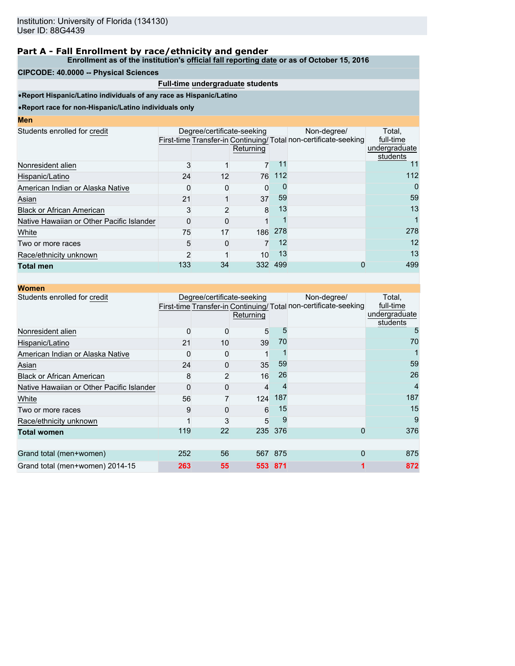**Enrollment as of the institution's official fall reporting date or as of October 15, 2016**

### **CIPCODE: 40.0000 -- Physical Sciences**

### **Full-time undergraduate students**

•**Report Hispanic/Latino individuals of any race as Hispanic/Latino**

| <b>Contract Contract Contract Contract Contract Contract Contract Contract Contract Contract Contract Contract Co</b> |  | <b>STATE OF STATE OF STATE OF STATE OF STATE OF STATE OF STATE OF STATE OF STATE OF STATE OF STATE OF STATE OF S</b> | <b>Contract Contract Contract Contract Contract Contract Contract Contract Contract Contract Contract Contract Co</b> |
|-----------------------------------------------------------------------------------------------------------------------|--|----------------------------------------------------------------------------------------------------------------------|-----------------------------------------------------------------------------------------------------------------------|
|                                                                                                                       |  |                                                                                                                      |                                                                                                                       |

|     |    |           |                                              | Non-degree/                       | Total,<br>full-time                                                          |
|-----|----|-----------|----------------------------------------------|-----------------------------------|------------------------------------------------------------------------------|
|     |    | Returning |                                              |                                   | undergraduate<br>students                                                    |
| 3   |    |           | 11                                           |                                   |                                                                              |
|     | 12 |           |                                              |                                   | 112                                                                          |
|     |    | 0         |                                              |                                   | 0                                                                            |
| 21  |    |           | 59                                           |                                   | 59                                                                           |
|     |    | 8         | 13                                           |                                   | 13                                                                           |
|     |    |           |                                              |                                   |                                                                              |
| 75  | 17 |           | 278                                          |                                   | 278                                                                          |
| 5   | 0  |           |                                              |                                   | 12                                                                           |
| 2   |    |           | 13                                           |                                   | 13                                                                           |
| 133 | 34 |           | 499                                          |                                   | 499                                                                          |
|     |    | 24<br>3   | Degree/certificate-seeking<br>$\overline{2}$ | 7<br>76<br>37<br>186<br>10<br>332 | First-time Transfer-in Continuing/Total non-certificate-seeking<br>112<br>12 |

| <b>Women</b>                              |          |                            |           |         |                                                                                 |                                                  |
|-------------------------------------------|----------|----------------------------|-----------|---------|---------------------------------------------------------------------------------|--------------------------------------------------|
| Students enrolled for credit              |          | Degree/certificate-seeking | Returning |         | Non-degree/<br>First-time Transfer-in Continuing/ Total non-certificate-seeking | Total,<br>full-time<br>undergraduate<br>students |
| Nonresident alien                         | $\Omega$ | 0                          | 5         | 5       |                                                                                 | 5                                                |
| Hispanic/Latino                           | 21       | 10                         | 39        | 70      |                                                                                 | 70                                               |
| American Indian or Alaska Native          |          |                            |           |         |                                                                                 |                                                  |
| Asian                                     | 24       | $\Omega$                   | 35        | 59      |                                                                                 | 59                                               |
| <b>Black or African American</b>          | 8        | 2                          | 16        | 26      |                                                                                 | 26                                               |
| Native Hawaiian or Other Pacific Islander | $\Omega$ | $\Omega$                   | 4         | 4       |                                                                                 | 4                                                |
| White                                     | 56       |                            | 124       | 187     |                                                                                 | 187                                              |
| Two or more races                         | 9        |                            | 6         | 15      |                                                                                 | 15                                               |
| Race/ethnicity unknown                    |          | 3                          | 5         | 9       |                                                                                 | 9                                                |
| <b>Total women</b>                        | 119      | 22                         |           | 235 376 | 0                                                                               | 376                                              |
|                                           |          |                            |           |         |                                                                                 |                                                  |
| Grand total (men+women)                   | 252      | 56                         |           | 567 875 | 0                                                                               | 875                                              |
| Grand total (men+women) 2014-15           | 263      | 55                         | 553       | - 871   |                                                                                 | 872                                              |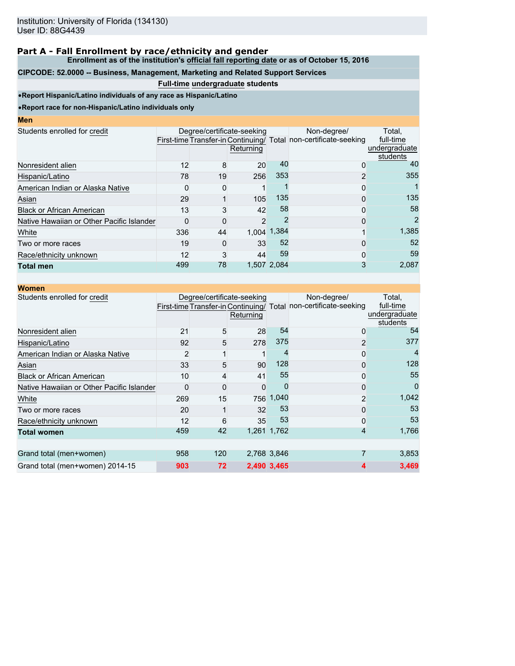**Enrollment as of the institution's official fall reporting date or as of October 15, 2016**

# **CIPCODE: 52.0000 -- Business, Management, Marketing and Related Support Services**

### **Full-time undergraduate students**

•**Report Hispanic/Latino individuals of any race as Hispanic/Latino**

| Men                                       |              |    |                                         |             |                                                                                 |                                                  |
|-------------------------------------------|--------------|----|-----------------------------------------|-------------|---------------------------------------------------------------------------------|--------------------------------------------------|
| Students enrolled for credit              |              |    | Degree/certificate-seeking<br>Returning |             | Non-degree/<br>First-time Transfer-in Continuing/ Total non-certificate-seeking | Total,<br>full-time<br>undergraduate<br>students |
| Nonresident alien                         | 12           | 8  | 20                                      | 40          | 0                                                                               | 40                                               |
| Hispanic/Latino                           | 78           | 19 | 256                                     | 353         | $\overline{2}$                                                                  | 355                                              |
| American Indian or Alaska Native          | O            | O  |                                         |             | 0                                                                               |                                                  |
| Asian                                     | 29           |    | 105                                     | 135         | 0                                                                               | 135                                              |
| <b>Black or African American</b>          | 13           | 3  | 42                                      | 58          | 0                                                                               | 58                                               |
| Native Hawaiian or Other Pacific Islander | <sup>0</sup> |    | $\overline{2}$                          |             | 0                                                                               | 2                                                |
| White                                     | 336          | 44 |                                         | 1,004 1,384 |                                                                                 | 1,385                                            |
| Two or more races                         | 19           |    | 33                                      | 52          | 0                                                                               | 52                                               |
| Race/ethnicity unknown                    | 12           | 3  | 44                                      | 59          | 0                                                                               | 59                                               |
| <b>Total men</b>                          | 499          | 78 |                                         | 1.507 2.084 | 3                                                                               | 2,087                                            |

| <b>Women</b>                              |     |     |                                         |             |                                                                                 |                                                  |
|-------------------------------------------|-----|-----|-----------------------------------------|-------------|---------------------------------------------------------------------------------|--------------------------------------------------|
| Students enrolled for credit              |     |     | Degree/certificate-seeking<br>Returning |             | Non-degree/<br>First-time Transfer-in Continuing/ Total non-certificate-seeking | Total,<br>full-time<br>undergraduate<br>students |
| Nonresident alien                         | 21  | 5   | 28                                      | 54          | 0                                                                               | 54                                               |
| Hispanic/Latino                           | 92  | 5   | 278                                     | 375         | 2                                                                               | 377                                              |
| American Indian or Alaska Native          | 2   |     |                                         |             | 0                                                                               |                                                  |
| Asian                                     | 33  | 5   | 90                                      | 128         | 0                                                                               | 128                                              |
| <b>Black or African American</b>          | 10  | 4   | 41                                      | 55          | 0                                                                               | 55                                               |
| Native Hawaiian or Other Pacific Islander | O   | 0   | $\Omega$                                | $\Omega$    | 0                                                                               | O                                                |
| White                                     | 269 | 15  | 756                                     | 1,040       | 2                                                                               | 1,042                                            |
| Two or more races                         | 20  |     | 32                                      | 53          | 0                                                                               | 53                                               |
| Race/ethnicity unknown                    | 12  | 6   | 35                                      | 53          | 0                                                                               | 53                                               |
| <b>Total women</b>                        | 459 | 42  |                                         | 1,261 1,762 | 4                                                                               | 1,766                                            |
|                                           |     |     |                                         |             |                                                                                 |                                                  |
| Grand total (men+women)                   | 958 | 120 |                                         | 2,768 3,846 |                                                                                 | 3,853                                            |
| Grand total (men+women) 2014-15           | 903 | 72  |                                         | 2,490 3,465 | 4                                                                               | 3,469                                            |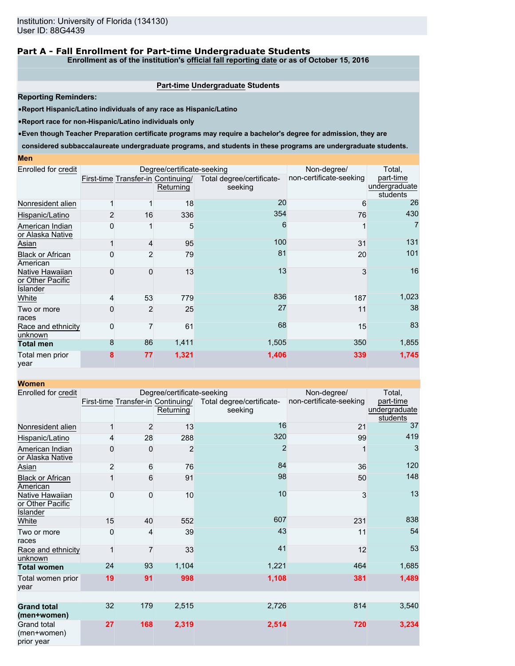### **Part A - Fall Enrollment for Part-time Undergraduate Students**

**Enrollment as of the institution's official fall reporting date or as of October 15, 2016**

#### **Part-time Undergraduate Students**

**Reporting Reminders:**

•**Report Hispanic/Latino individuals of any race as Hispanic/Latino**

•**Report race for non-Hispanic/Latino individuals only**

•**Even though Teacher Preparation certificate programs may require a bachelor's degree for admission, they are**

**considered subbaccalaureate undergraduate programs, and students in these programs are undergraduate students.**

| Enrolled for credit                                    |          |                | Degree/certificate-seeking                      |                                      | Non-degree/             | Total,                                 |
|--------------------------------------------------------|----------|----------------|-------------------------------------------------|--------------------------------------|-------------------------|----------------------------------------|
|                                                        |          |                | First-time Transfer-in Continuing/<br>Returning | Total degree/certificate-<br>seeking | non-certificate-seeking | part-time<br>undergraduate<br>students |
| Nonresident alien                                      |          |                | 18                                              | 20                                   | 6                       | 26                                     |
| Hispanic/Latino                                        |          | 16             | 336                                             | 354                                  | 76                      | 430                                    |
| American Indian<br>or Alaska Native                    | O        |                | 5                                               | 6                                    |                         | 7                                      |
| Asian                                                  |          | 4              | 95                                              | 100                                  | 31                      | 131                                    |
| <b>Black or African</b><br>American                    |          | 2              | 79                                              | 81                                   | 20                      | 101                                    |
| Native Hawaiian<br>or Other Pacific<br><b>Islander</b> | O        | 0              | 13                                              | 13                                   | 3                       | 16                                     |
| White                                                  |          | 53             | 779                                             | 836                                  | 187                     | 1,023                                  |
| Two or more<br>races                                   |          | $\overline{2}$ | 25                                              | 27                                   | 11                      | 38                                     |
| Race and ethnicity<br>unknown                          | $\Omega$ | $\overline{7}$ | 61                                              | 68                                   | 15                      | 83                                     |
| <b>Total men</b>                                       | 8        | 86             | 1,411                                           | 1,505                                | 350                     | 1,855                                  |
| Total men prior<br>year                                | 8        | 77             | 1,321                                           | 1,406                                | 339                     | 1,745                                  |

| <b>Women</b>                                    |                |                |                                                 |                                      |                         |                                        |
|-------------------------------------------------|----------------|----------------|-------------------------------------------------|--------------------------------------|-------------------------|----------------------------------------|
| Enrolled for credit                             |                |                | Degree/certificate-seeking                      |                                      | Non-degree/             | Total,                                 |
|                                                 |                |                | First-time Transfer-in Continuing/<br>Returning | Total degree/certificate-<br>seeking | non-certificate-seeking | part-time<br>undergraduate<br>students |
| Nonresident alien                               |                | $\overline{c}$ | 13                                              | 16                                   | 21                      | 37                                     |
| Hispanic/Latino                                 | 4              | 28             | 288                                             | 320                                  | 99                      | 419                                    |
| American Indian<br>or Alaska Native             | 0              | 0              | $\overline{2}$                                  | $\overline{2}$                       | 1                       | 3                                      |
| <b>Asian</b>                                    | $\overline{2}$ | 6              | 76                                              | 84                                   | 36                      | 120                                    |
| <b>Black or African</b><br>American             |                | 6              | 91                                              | 98                                   | 50                      | 148                                    |
| Native Hawaiian<br>or Other Pacific<br>Islander | 0              | 0              | 10                                              | 10                                   | 3                       | 13                                     |
| White                                           | 15             | 40             | 552                                             | 607                                  | 231                     | 838                                    |
| Two or more<br>races                            | 0              | 4              | 39                                              | 43                                   | 11                      | 54                                     |
| Race and ethnicity<br>unknown                   |                | 7              | 33                                              | 41                                   | 12                      | 53                                     |
| <b>Total women</b>                              | 24             | 93             | 1,104                                           | 1,221                                | 464                     | 1,685                                  |
| Total women prior<br>vear                       | 19             | 91             | 998                                             | 1,108                                | 381                     | 1,489                                  |
|                                                 |                |                |                                                 |                                      |                         |                                        |
| <b>Grand total</b><br>(men+women)               | 32             | 179            | 2,515                                           | 2,726                                | 814                     | 3,540                                  |
| <b>Grand total</b><br>(men+women)<br>prior year | 27             | 168            | 2,319                                           | 2,514                                | 720                     | 3,234                                  |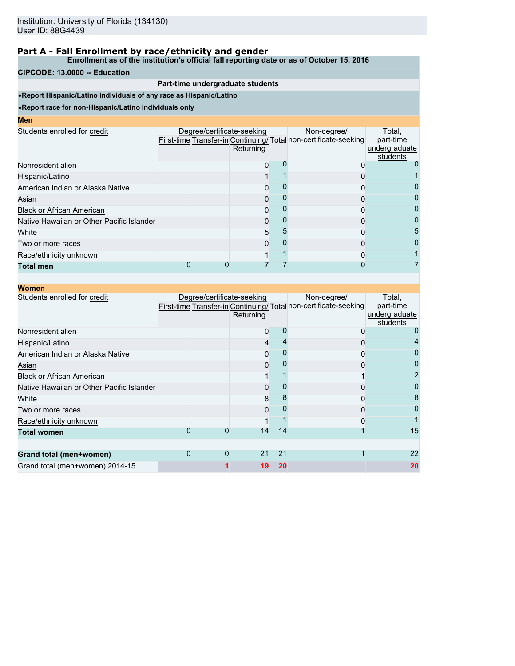**Enrollment as of the institution's official fall reporting date or as of October 15, 2016**

#### **CIPCODE: 13.0000 -- Education**

### **Part-time undergraduate students**

•**Report Hispanic/Latino individuals of any race as Hispanic/Latino**

|  | Returning |                            | Non-degree/                | Total.<br>part-time<br>undergraduate<br>students                 |
|--|-----------|----------------------------|----------------------------|------------------------------------------------------------------|
|  |           |                            |                            |                                                                  |
|  |           |                            |                            |                                                                  |
|  |           |                            |                            | Ü                                                                |
|  |           |                            |                            | 0                                                                |
|  |           |                            |                            | 0                                                                |
|  |           |                            |                            | 0                                                                |
|  |           |                            |                            | 5                                                                |
|  |           |                            |                            | 0                                                                |
|  |           |                            |                            |                                                                  |
|  |           |                            |                            |                                                                  |
|  |           | Degree/certificate-seeking | 0<br>0<br>O<br>ი<br>5<br>O | First-time Transfer-in Continuing/ Total non-certificate-seeking |

| <b>Women</b>                              |   |                            |           |    |                                                                                |                                                  |
|-------------------------------------------|---|----------------------------|-----------|----|--------------------------------------------------------------------------------|--------------------------------------------------|
| Students enrolled for credit              |   | Degree/certificate-seeking | Returning |    | Non-degree/<br>First-time Transfer-in Continuing/Total non-certificate-seeking | Total,<br>part-time<br>undergraduate<br>students |
| Nonresident alien                         |   |                            | 0         |    |                                                                                |                                                  |
| Hispanic/Latino                           |   |                            | 4         |    | O                                                                              |                                                  |
| American Indian or Alaska Native          |   |                            | 0         |    |                                                                                |                                                  |
| Asian                                     |   |                            | 0         |    | ი                                                                              |                                                  |
| <b>Black or African American</b>          |   |                            |           |    |                                                                                |                                                  |
| Native Hawaiian or Other Pacific Islander |   |                            | 0         |    |                                                                                |                                                  |
| White                                     |   |                            | 8         |    |                                                                                | 8                                                |
| Two or more races                         |   |                            | 0         |    | 0                                                                              |                                                  |
| Race/ethnicity unknown                    |   |                            |           |    | Ω                                                                              |                                                  |
| <b>Total women</b>                        |   |                            | 14        | 14 |                                                                                | 15                                               |
| Grand total (men+women)                   | 0 | $\Omega$                   | 21        | 21 |                                                                                | 22                                               |
| Grand total (men+women) 2014-15           |   |                            | 19        | 20 |                                                                                | 20                                               |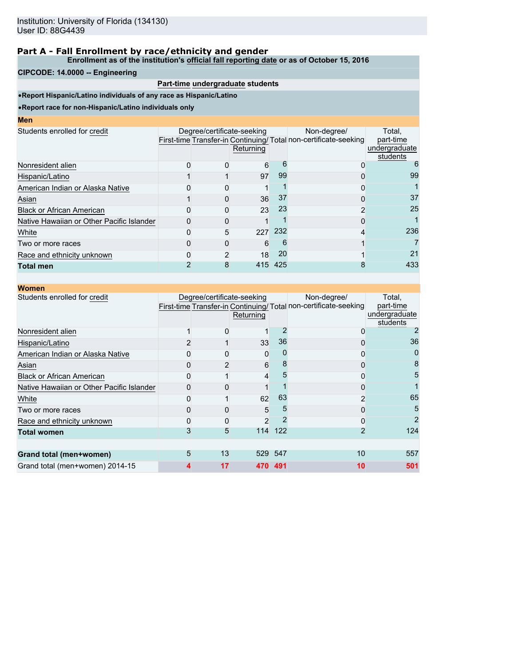**Enrollment as of the institution's official fall reporting date or as of October 15, 2016**

### **CIPCODE: 14.0000 -- Engineering**

### **Part-time undergraduate students**

•**Report Hispanic/Latino individuals of any race as Hispanic/Latino**

| I<br>ш<br>۱<br><b>Service Service</b> |  |  |
|---------------------------------------|--|--|
|                                       |  |  |

| Students enrolled for credit              | Degree/certificate-seeking | Returning |     | Non-degree/<br>First-time Transfer-in Continuing/Total non-certificate-seeking | Total,<br>part-time<br>undergraduate<br>students |
|-------------------------------------------|----------------------------|-----------|-----|--------------------------------------------------------------------------------|--------------------------------------------------|
| Nonresident alien                         |                            | 6         |     |                                                                                | 6                                                |
| Hispanic/Latino                           |                            | 97        | 99  |                                                                                | 99                                               |
| American Indian or Alaska Native          |                            |           |     |                                                                                |                                                  |
| Asian                                     |                            | 36        | 37  |                                                                                | 37                                               |
| <b>Black or African American</b>          |                            | 23        | 23  |                                                                                | 25                                               |
| Native Hawaiian or Other Pacific Islander |                            |           |     |                                                                                |                                                  |
| White                                     | 5                          | 227       | 232 |                                                                                | 236                                              |
| Two or more races                         |                            | 6         |     |                                                                                |                                                  |
| Race and ethnicity unknown                |                            | 18        | 20  |                                                                                | 21                                               |
| <b>Total men</b>                          |                            | 415       | 425 |                                                                                | 433                                              |
|                                           |                            |           |     |                                                                                |                                                  |

| <b>Women</b>                              |   |                            |                |         |                                                                                |                                                  |
|-------------------------------------------|---|----------------------------|----------------|---------|--------------------------------------------------------------------------------|--------------------------------------------------|
| Students enrolled for credit              |   | Degree/certificate-seeking | Returning      |         | Non-degree/<br>First-time Transfer-in Continuing/Total non-certificate-seeking | Total,<br>part-time<br>undergraduate<br>students |
| Nonresident alien                         |   |                            |                |         |                                                                                |                                                  |
| Hispanic/Latino                           |   |                            | 33             | 36      | 0                                                                              | 36                                               |
| American Indian or Alaska Native          |   |                            | 0              |         | ი                                                                              |                                                  |
| Asian                                     |   |                            | 6              |         | 0                                                                              | 8                                                |
| <b>Black or African American</b>          |   |                            | 4              | 5       | 0                                                                              | 5                                                |
| Native Hawaiian or Other Pacific Islander |   |                            |                |         | 0                                                                              |                                                  |
| White                                     |   |                            | 62             | 63      | 2                                                                              | 65                                               |
| Two or more races                         |   |                            | 5              |         |                                                                                | 5                                                |
| Race and ethnicity unknown                |   |                            | $\overline{2}$ |         |                                                                                |                                                  |
| <b>Total women</b>                        | 3 | 5                          | 114            | 122     | 2                                                                              | 124                                              |
|                                           |   |                            |                |         |                                                                                |                                                  |
| Grand total (men+women)                   | 5 | 13                         |                | 529 547 | 10                                                                             | 557                                              |
| Grand total (men+women) 2014-15           |   | 17                         |                | 470 491 | 10                                                                             | 501                                              |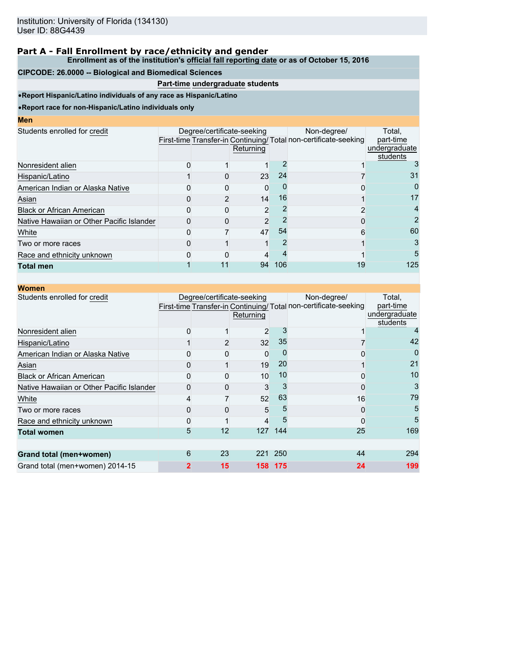#### **Enrollment as of the institution's official fall reporting date or as of October 15, 2016**

### **CIPCODE: 26.0000 -- Biological and Biomedical Sciences**

## **Part-time undergraduate students**

•**Report Hispanic/Latino individuals of any race as Hispanic/Latino**

| I<br>ш<br>۱<br><b>Service Service</b> |  |  |
|---------------------------------------|--|--|
|                                       |  |  |

| Degree/certificate-seeking |           |     | Non-degree/    |                                                                 |
|----------------------------|-----------|-----|----------------|-----------------------------------------------------------------|
|                            | Returning |     |                | Total.<br>part-time<br>undergraduate<br>students                |
|                            |           |     |                |                                                                 |
|                            |           | 24  |                | 31                                                              |
|                            | 0         |     |                | 0                                                               |
|                            | 14        | 16  |                | 17                                                              |
|                            | 2         |     |                | 4                                                               |
|                            |           |     |                | 2                                                               |
|                            |           | 54  | 6              | 60                                                              |
|                            |           |     |                | 3                                                               |
|                            |           |     |                | 5                                                               |
| 11                         |           | 106 | 19             | 125                                                             |
|                            |           |     | 23<br>47<br>94 | First-time Transfer-in Continuing/Total non-certificate-seeking |

| <b>Women</b>                              |   |    |                                         |      |                                                                                |                                                  |
|-------------------------------------------|---|----|-----------------------------------------|------|--------------------------------------------------------------------------------|--------------------------------------------------|
| Students enrolled for credit              |   |    | Degree/certificate-seeking<br>Returning |      | Non-degree/<br>First-time Transfer-in Continuing/Total non-certificate-seeking | Total,<br>part-time<br>undergraduate<br>students |
| Nonresident alien                         |   |    | 2                                       |      |                                                                                |                                                  |
| Hispanic/Latino                           |   |    | 32                                      | 35   |                                                                                | 42                                               |
| American Indian or Alaska Native          |   |    | 0                                       |      | ი                                                                              |                                                  |
| Asian                                     |   |    | 19                                      | 20   |                                                                                | 21                                               |
| <b>Black or African American</b>          |   |    | 10                                      | 10   | 0                                                                              | 10                                               |
| Native Hawaiian or Other Pacific Islander |   |    | 3                                       |      | 0                                                                              | 3                                                |
| White                                     |   |    | 52                                      | 63   | 16                                                                             | 79                                               |
| Two or more races                         |   |    | 5                                       |      | 0                                                                              | 5                                                |
| Race and ethnicity unknown                |   |    | 4                                       | 5    | ი                                                                              | 5                                                |
| <b>Total women</b>                        | 5 | 12 | 127                                     | 144  | 25                                                                             | 169                                              |
| Grand total (men+women)                   | 6 | 23 | 221                                     | 250  | 44                                                                             | 294                                              |
| Grand total (men+women) 2014-15           | 2 | 15 | 158                                     | -175 | 24                                                                             | 199                                              |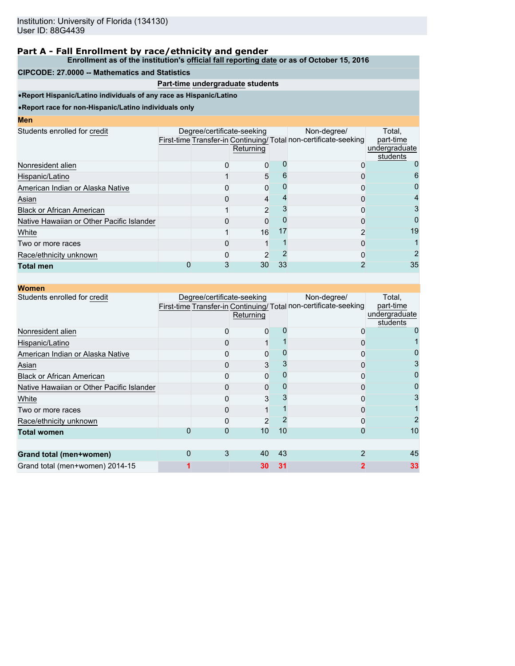**Enrollment as of the institution's official fall reporting date or as of October 15, 2016**

### **CIPCODE: 27.0000 -- Mathematics and Statistics**

## **Part-time undergraduate students**

•**Report Hispanic/Latino individuals of any race as Hispanic/Latino**

| Men |  |
|-----|--|
|-----|--|

| MGII                                      |                            |           |    |                                                                                |                                                  |
|-------------------------------------------|----------------------------|-----------|----|--------------------------------------------------------------------------------|--------------------------------------------------|
| Students enrolled for credit              | Degree/certificate-seeking | Returning |    | Non-degree/<br>First-time Transfer-in Continuing/Total non-certificate-seeking | Total.<br>part-time<br>undergraduate<br>students |
| Nonresident alien                         |                            | 0         |    |                                                                                |                                                  |
| Hispanic/Latino                           |                            | 5         |    |                                                                                | 6                                                |
| American Indian or Alaska Native          |                            | $\Omega$  |    |                                                                                | 0                                                |
| Asian                                     |                            | 4         |    |                                                                                | 4                                                |
| <b>Black or African American</b>          |                            | 2         |    |                                                                                |                                                  |
| Native Hawaiian or Other Pacific Islander |                            | 0         |    |                                                                                | $\mathbf{O}$                                     |
| White                                     |                            | 16        | 17 |                                                                                | 19                                               |
| Two or more races                         |                            |           |    |                                                                                |                                                  |
| Race/ethnicity unknown                    |                            |           |    |                                                                                |                                                  |
| <b>Total men</b>                          |                            | 30        | 33 |                                                                                | 35                                               |
|                                           |                            |           |    |                                                                                |                                                  |

| <b>Women</b>                              |                            |           |    |                                                                                |                                                  |
|-------------------------------------------|----------------------------|-----------|----|--------------------------------------------------------------------------------|--------------------------------------------------|
| Students enrolled for credit              | Degree/certificate-seeking | Returning |    | Non-degree/<br>First-time Transfer-in Continuing/Total non-certificate-seeking | Total,<br>part-time<br>undergraduate<br>students |
| Nonresident alien                         |                            | 0         |    |                                                                                |                                                  |
| Hispanic/Latino                           |                            |           |    |                                                                                |                                                  |
| American Indian or Alaska Native          |                            |           |    |                                                                                |                                                  |
| Asian                                     |                            | 3         |    | ი                                                                              |                                                  |
| <b>Black or African American</b>          |                            | 0         |    | 0                                                                              |                                                  |
| Native Hawaiian or Other Pacific Islander |                            | 0         |    | 0                                                                              |                                                  |
| White                                     |                            | 3         |    |                                                                                |                                                  |
| Two or more races                         |                            |           |    |                                                                                |                                                  |
| Race/ethnicity unknown                    |                            | 2         |    |                                                                                |                                                  |
| <b>Total women</b>                        |                            | 10        | 10 | Ω                                                                              | 10                                               |
| Grand total (men+women)                   | 3                          | 40        | 43 |                                                                                | 45                                               |
| Grand total (men+women) 2014-15           |                            | 30        | 31 |                                                                                | 33                                               |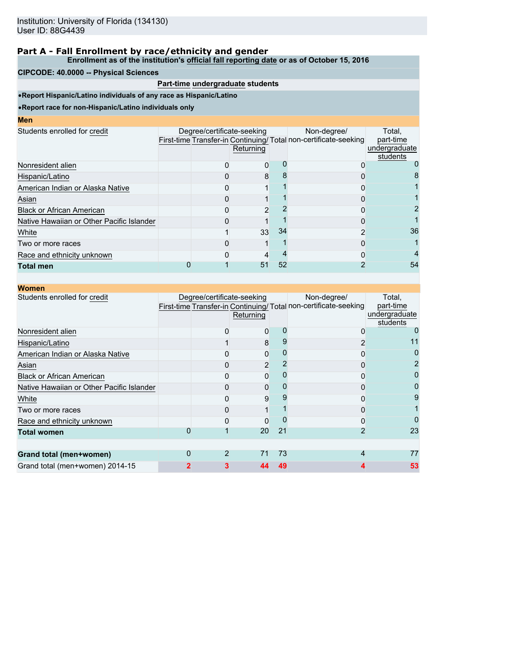#### **Enrollment as of the institution's official fall reporting date or as of October 15, 2016**

### **CIPCODE: 40.0000 -- Physical Sciences**

### **Part-time undergraduate students**

•**Report Hispanic/Latino individuals of any race as Hispanic/Latino**

| <b>Contract Contract Contract Contract Contract Contract Contract Contract Contract Contract Contract Contract Co</b> |  | <b>STATE OF STATE OF STATE OF STATE OF STATE OF STATE OF STATE OF STATE OF STATE OF STATE OF STATE OF STATE OF S</b> | <b>Contract Contract Contract Contract Contract Contract Contract Contract Contract Contract Contract Contract Co</b> |
|-----------------------------------------------------------------------------------------------------------------------|--|----------------------------------------------------------------------------------------------------------------------|-----------------------------------------------------------------------------------------------------------------------|
|                                                                                                                       |  |                                                                                                                      |                                                                                                                       |

| MGII                                      |                            |           |    |                                                                                |                                                  |
|-------------------------------------------|----------------------------|-----------|----|--------------------------------------------------------------------------------|--------------------------------------------------|
| Students enrolled for credit              | Degree/certificate-seeking | Returning |    | Non-degree/<br>First-time Transfer-in Continuing/Total non-certificate-seeking | Total.<br>part-time<br>undergraduate<br>students |
| Nonresident alien                         |                            | 0         |    |                                                                                |                                                  |
| Hispanic/Latino                           |                            | 8         |    |                                                                                |                                                  |
| American Indian or Alaska Native          |                            |           |    |                                                                                |                                                  |
| Asian                                     |                            |           |    |                                                                                |                                                  |
| <b>Black or African American</b>          |                            |           |    |                                                                                |                                                  |
| Native Hawaiian or Other Pacific Islander |                            |           |    |                                                                                |                                                  |
| White                                     |                            | 33        | 34 |                                                                                | 36                                               |
| Two or more races                         |                            |           |    | O                                                                              |                                                  |
| Race and ethnicity unknown                |                            |           |    |                                                                                |                                                  |
| <b>Total men</b>                          |                            | 51        | 52 |                                                                                | 54                                               |
|                                           |                            |           |    |                                                                                |                                                  |

| <b>Women</b>                              |                            |                |    |                                                                                |                                                  |
|-------------------------------------------|----------------------------|----------------|----|--------------------------------------------------------------------------------|--------------------------------------------------|
| Students enrolled for credit              | Degree/certificate-seeking | Returning      |    | Non-degree/<br>First-time Transfer-in Continuing/Total non-certificate-seeking | Total,<br>part-time<br>undergraduate<br>students |
| Nonresident alien                         |                            | 0              |    | 0                                                                              |                                                  |
| Hispanic/Latino                           |                            | 8              |    | 2                                                                              |                                                  |
| American Indian or Alaska Native          |                            | 0              |    | 0                                                                              |                                                  |
| Asian                                     |                            | $\overline{2}$ |    | 0                                                                              |                                                  |
| <b>Black or African American</b>          |                            | 0              |    | ი                                                                              |                                                  |
| Native Hawaiian or Other Pacific Islander |                            | 0              |    | 0                                                                              |                                                  |
| White                                     |                            | g              |    |                                                                                | 9                                                |
| Two or more races                         |                            |                |    |                                                                                |                                                  |
| Race and ethnicity unknown                |                            | 0              |    | ი                                                                              |                                                  |
| <b>Total women</b>                        |                            | 20             | 21 |                                                                                | 23                                               |
|                                           |                            |                |    |                                                                                |                                                  |
| Grand total (men+women)                   | $\overline{2}$             | 71             | 73 | 4                                                                              | 77                                               |
| Grand total (men+women) 2014-15           |                            |                | 49 |                                                                                | 53                                               |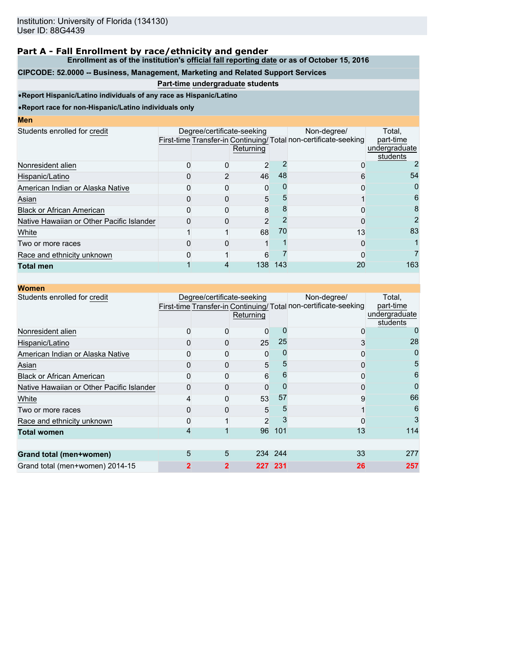**Enrollment as of the institution's official fall reporting date or as of October 15, 2016**

### **CIPCODE: 52.0000 -- Business, Management, Marketing and Related Support Services**

# **Part-time undergraduate students**

•**Report Hispanic/Latino individuals of any race as Hispanic/Latino**

| I<br>ш<br>۱<br><b>Service Service</b> |  |  |
|---------------------------------------|--|--|
|                                       |  |  |

| MCII                                      |                            |           |     |                                                                                |                                                  |
|-------------------------------------------|----------------------------|-----------|-----|--------------------------------------------------------------------------------|--------------------------------------------------|
| Students enrolled for credit              | Degree/certificate-seeking | Returning |     | Non-degree/<br>First-time Transfer-in Continuing/Total non-certificate-seeking | Total.<br>part-time<br>undergraduate<br>students |
| Nonresident alien                         |                            | 2         |     |                                                                                |                                                  |
| Hispanic/Latino                           |                            | 46        | 48  |                                                                                | 54                                               |
| American Indian or Alaska Native          |                            | 0         |     |                                                                                | 0                                                |
| Asian                                     |                            | 5         |     |                                                                                | 6                                                |
| <b>Black or African American</b>          |                            | 8         |     |                                                                                | 8                                                |
| Native Hawaiian or Other Pacific Islander |                            | 2         |     |                                                                                | 2                                                |
| White                                     |                            | 68        | 70  | 13                                                                             | 83                                               |
| Two or more races                         |                            |           |     | 0                                                                              |                                                  |
| Race and ethnicity unknown                |                            | 6         |     |                                                                                |                                                  |
| <b>Total men</b>                          |                            | 138       | 143 | 20                                                                             | 163                                              |
|                                           |                            |           |     |                                                                                |                                                  |

| <b>Women</b>                              |   |                            |                |         |                                                                                |                                                  |
|-------------------------------------------|---|----------------------------|----------------|---------|--------------------------------------------------------------------------------|--------------------------------------------------|
| Students enrolled for credit              |   | Degree/certificate-seeking | Returning      |         | Non-degree/<br>First-time Transfer-in Continuing/Total non-certificate-seeking | Total,<br>part-time<br>undergraduate<br>students |
| Nonresident alien                         |   |                            | 0              |         | 0                                                                              |                                                  |
| Hispanic/Latino                           |   |                            | 25             | 25      | 3                                                                              | 28                                               |
| American Indian or Alaska Native          |   |                            | 0              |         | ი                                                                              |                                                  |
| Asian                                     |   |                            | 5              |         | 0                                                                              | 5                                                |
| <b>Black or African American</b>          |   |                            | 6              | 6       | 0                                                                              | 6                                                |
| Native Hawaiian or Other Pacific Islander |   |                            | 0              |         | 0                                                                              | 0                                                |
| White                                     |   |                            | 53             | 57      | 9                                                                              | 66                                               |
| Two or more races                         |   |                            | 5              |         |                                                                                | 6                                                |
| Race and ethnicity unknown                |   |                            | $\overline{c}$ |         |                                                                                | 3                                                |
| <b>Total women</b>                        | 4 |                            | 96             | 101     | 13                                                                             | 114                                              |
| Grand total (men+women)                   | 5 | 5                          |                | 234 244 | 33                                                                             | 277                                              |
| Grand total (men+women) 2014-15           |   | 2                          | 227.           | -231    | 26                                                                             | 257                                              |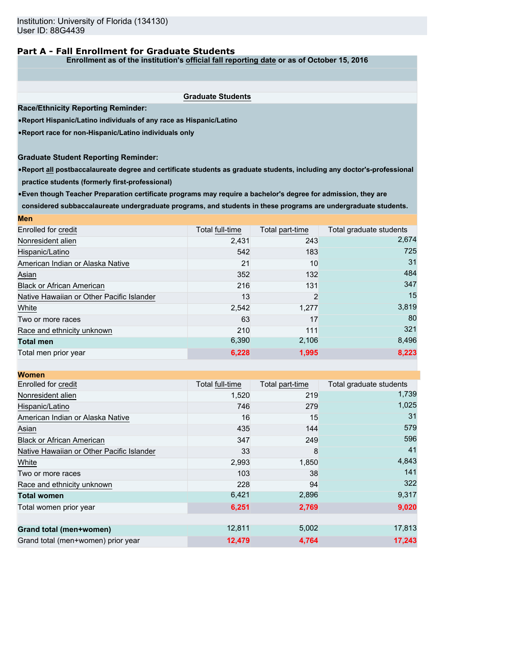### **Part A - Fall Enrollment for Graduate Students**

**Enrollment as of the institution's official fall reporting date or as of October 15, 2016**

|                                                                                                                          | <b>Graduate Students</b> |                 |                                  |
|--------------------------------------------------------------------------------------------------------------------------|--------------------------|-----------------|----------------------------------|
| <b>Race/Ethnicity Reporting Reminder:</b>                                                                                |                          |                 |                                  |
| . Report Hispanic/Latino individuals of any race as Hispanic/Latino                                                      |                          |                 |                                  |
| . Report race for non-Hispanic/Latino individuals only                                                                   |                          |                 |                                  |
| <b>Graduate Student Reporting Reminder:</b>                                                                              |                          |                 |                                  |
| . Report all postbaccalaureate degree and certificate students as graduate students, including any doctor's-professional |                          |                 |                                  |
| practice students (formerly first-professional)                                                                          |                          |                 |                                  |
| . Even though Teacher Preparation certificate programs may require a bachelor's degree for admission, they are           |                          |                 |                                  |
| considered subbaccalaureate undergraduate programs, and students in these programs are undergraduate students.           |                          |                 |                                  |
|                                                                                                                          |                          |                 |                                  |
| Men                                                                                                                      |                          |                 |                                  |
| Enrolled for credit                                                                                                      | Total full-time          | Total part-time | Total graduate students<br>2,674 |
| Nonresident alien                                                                                                        | 2,431                    | 243             | 725                              |
| Hispanic/Latino                                                                                                          | 542                      | 183             | 31                               |
| American Indian or Alaska Native                                                                                         | 21                       | 10              | 484                              |
| Asian                                                                                                                    | 352                      | 132             | 347                              |
| <b>Black or African American</b>                                                                                         | 216                      | 131             | 15                               |
| Native Hawaiian or Other Pacific Islander                                                                                | 13                       | $\overline{2}$  | 3,819                            |
| White                                                                                                                    | 2,542                    | 1,277           | 80                               |
| Two or more races                                                                                                        | 63                       | 17              | 321                              |
| Race and ethnicity unknown                                                                                               | 210<br>6,390             | 111<br>2,106    | 8.496                            |
| <b>Total men</b>                                                                                                         |                          |                 |                                  |
| Total men prior year                                                                                                     | 6,228                    | 1,995           | 8,223                            |
| <b>Women</b>                                                                                                             |                          |                 |                                  |
| Enrolled for credit                                                                                                      | Total full-time          | Total part-time | Total graduate students          |
| Nonresident alien                                                                                                        | 1,520                    | 219             | 1,739                            |
| Hispanic/Latino                                                                                                          | 746                      | 279             | 1,025                            |
| American Indian or Alaska Native                                                                                         | 16                       | 15              | 31                               |
| Asian                                                                                                                    | 435                      | 144             | 579                              |
| <b>Black or African American</b>                                                                                         | 347                      | 249             | 596                              |
| Native Hawaiian or Other Pacific Islander                                                                                | 33                       | 8               | 41                               |
| White                                                                                                                    | 2.993                    | 1.850           | 4,843                            |

Two or more races 141 Race and ethnicity unknown 322 328 322 **Total women** 8,317 Total women prior year **6,251 6,251 2,769 9,020** 

**Grand total (men+women)** 12,811 5,002 17,813 Grand total (men+women) prior year **12,479** 4,764 **17,243**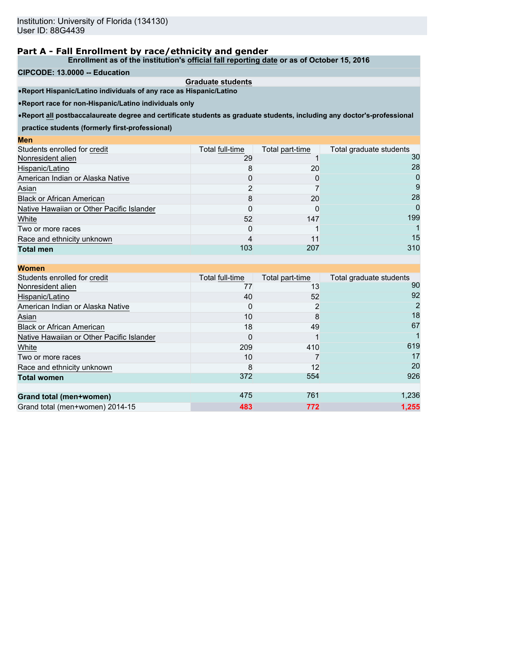**Enrollment as of the institution's official fall reporting date or as of October 15, 2016**

#### **CIPCODE: 13.0000 -- Education**

**Men**

**Graduate students** •**Report Hispanic/Latino individuals of any race as Hispanic/Latino**

•**Report race for non-Hispanic/Latino individuals only**

•**Report all postbaccalaureate degree and certificate students as graduate students, including any doctor's-professional**

**practice students (formerly first-professional)**

| ww                                        |                 |                 |                         |
|-------------------------------------------|-----------------|-----------------|-------------------------|
| Students enrolled for credit              | Total full-time | Total part-time | Total graduate students |
| Nonresident alien                         | 29              |                 | 30                      |
| Hispanic/Latino                           |                 | 20              | 28                      |
| American Indian or Alaska Native          |                 |                 | $\mathbf{I}$            |
| Asian                                     |                 |                 |                         |
| <b>Black or African American</b>          |                 | 20              | 28                      |
| Native Hawaiian or Other Pacific Islander |                 |                 | 0                       |
| White                                     | 52              | 147             | 199                     |
| Two or more races                         |                 |                 |                         |
| Race and ethnicity unknown                |                 | 11              | 15                      |
| <b>Total men</b>                          | 103             | 207             | 310                     |
|                                           |                 |                 |                         |

| <b>Women</b>                              |                 |                 |                         |
|-------------------------------------------|-----------------|-----------------|-------------------------|
| Students enrolled for credit              | Total full-time | Total part-time | Total graduate students |
| Nonresident alien                         | 77              | 13              | 90                      |
| Hispanic/Latino                           | 40              | 52              | 92                      |
| American Indian or Alaska Native          |                 |                 |                         |
| Asian                                     | 10              | 8               | 18                      |
| <b>Black or African American</b>          | 18              | 49              | 67                      |
| Native Hawaiian or Other Pacific Islander |                 |                 |                         |
| White                                     | 209             | 410             | 619                     |
| Two or more races                         | 10              |                 | 17                      |
| Race and ethnicity unknown                | 8               | 12              | 20                      |
| <b>Total women</b>                        | 372             | 554             | 926                     |
|                                           |                 |                 |                         |
| Grand total (men+women)                   | 475             | 761             | 1,236                   |
| Grand total (men+women) 2014-15           | 483             | 772             | 1.255                   |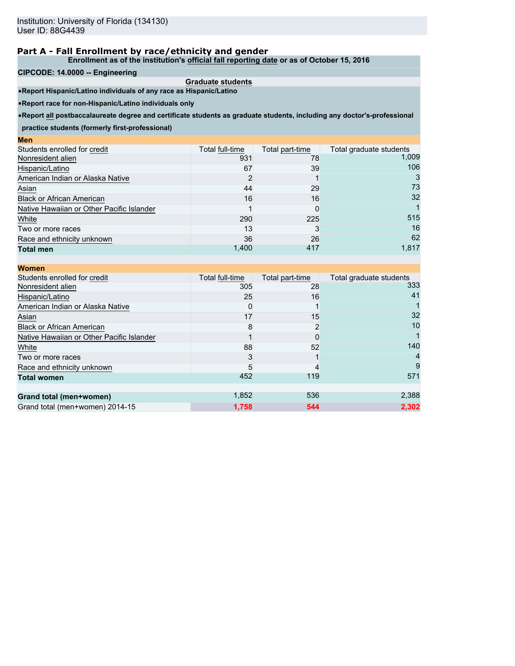**Enrollment as of the institution's official fall reporting date or as of October 15, 2016**

#### **CIPCODE: 14.0000 -- Engineering**

**Men**

**Graduate students** •**Report Hispanic/Latino individuals of any race as Hispanic/Latino**

•**Report race for non-Hispanic/Latino individuals only**

•**Report all postbaccalaureate degree and certificate students as graduate students, including any doctor's-professional**

**practice students (formerly first-professional)**

| шы                                        |                 |                 |                         |
|-------------------------------------------|-----------------|-----------------|-------------------------|
| Students enrolled for credit              | Total full-time | Total part-time | Total graduate students |
| Nonresident alien                         | 931             | 78              | 1,009                   |
| Hispanic/Latino                           | 67              | 39              | 106                     |
| American Indian or Alaska Native          |                 |                 |                         |
| Asian                                     | 44              | 29              | 73                      |
| <b>Black or African American</b>          | 16              | 16              | 32                      |
| Native Hawaiian or Other Pacific Islander |                 |                 |                         |
| White                                     | 290             | 225             | 515                     |
| Two or more races                         | 13              |                 | 16                      |
| Race and ethnicity unknown                | 36              | 26              | 62                      |
| <b>Total men</b>                          | 1,400           | 417             | 1,817                   |
|                                           |                 |                 |                         |

| <b>Women</b>                              |                 |                 |                         |
|-------------------------------------------|-----------------|-----------------|-------------------------|
| Students enrolled for credit              | Total full-time | Total part-time | Total graduate students |
| Nonresident alien                         | 305             | 28              | 333                     |
| Hispanic/Latino                           | 25              | 16              | 41                      |
| American Indian or Alaska Native          |                 |                 |                         |
| Asian                                     | 17              | 15              | 32                      |
| <b>Black or African American</b>          | 8               |                 | 10                      |
| Native Hawaiian or Other Pacific Islander |                 |                 |                         |
| White                                     | 88              | 52              | 140                     |
| Two or more races                         |                 |                 |                         |
| Race and ethnicity unknown                | 5               |                 |                         |
| <b>Total women</b>                        | 452             | 119             | 571                     |
|                                           |                 |                 |                         |
| Grand total (men+women)                   | 1,852           | 536             | 2,388                   |
| Grand total (men+women) 2014-15           | 1.758           | 544             | 2.302                   |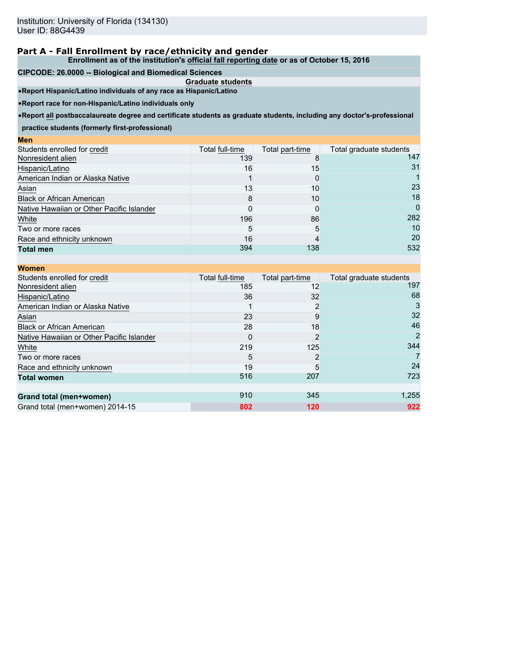**Enrollment as of the institution's official fall reporting date or as of October 15, 2016**

#### **CIPCODE: 26.0000 -- Biological and Biomedical Sciences**

**Graduate students**

•**Report Hispanic/Latino individuals of any race as Hispanic/Latino**

•**Report race for non-Hispanic/Latino individuals only**

•**Report all postbaccalaureate degree and certificate students as graduate students, including any doctor's-professional**

**practice students (formerly first-professional)**

| $\mathbf{v}$                              |                 |                 |                         |
|-------------------------------------------|-----------------|-----------------|-------------------------|
| Students enrolled for credit              | Total full-time | Total part-time | Total graduate students |
| Nonresident alien                         | 139             |                 | 147                     |
| Hispanic/Latino                           | 16              | 15              | 31                      |
| American Indian or Alaska Native          |                 |                 |                         |
| Asian                                     | 13              | 10              | 23                      |
| <b>Black or African American</b>          | 8               | 10              | 18                      |
| Native Hawaiian or Other Pacific Islander |                 |                 | 0                       |
| White                                     | 196             | 86              | 282                     |
| Two or more races                         | 5               | 5               | 10                      |
| Race and ethnicity unknown                | 16              |                 | 20                      |
| <b>Total men</b>                          | 394             | 138             | 532                     |
|                                           |                 |                 |                         |

| <b>Women</b>                              |                 |                 |                         |
|-------------------------------------------|-----------------|-----------------|-------------------------|
| Students enrolled for credit              | Total full-time | Total part-time | Total graduate students |
| Nonresident alien                         | 185             | 12              | 197                     |
| Hispanic/Latino                           | 36              | 32              | 68                      |
| American Indian or Alaska Native          |                 |                 | 3                       |
| Asian                                     | 23              | 9               | 32                      |
| <b>Black or African American</b>          | 28              | 18              | 46                      |
| Native Hawaiian or Other Pacific Islander | 0               |                 | 2                       |
| White                                     | 219             | 125             | 344                     |
| Two or more races                         | 5               |                 |                         |
| Race and ethnicity unknown                | 19              | 5               | 24                      |
| <b>Total women</b>                        | 516             | 207             | 723                     |
|                                           |                 |                 |                         |
| Grand total (men+women)                   | 910             | 345             | 1,255                   |
| Grand total (men+women) 2014-15           | 802             | 120             | 922                     |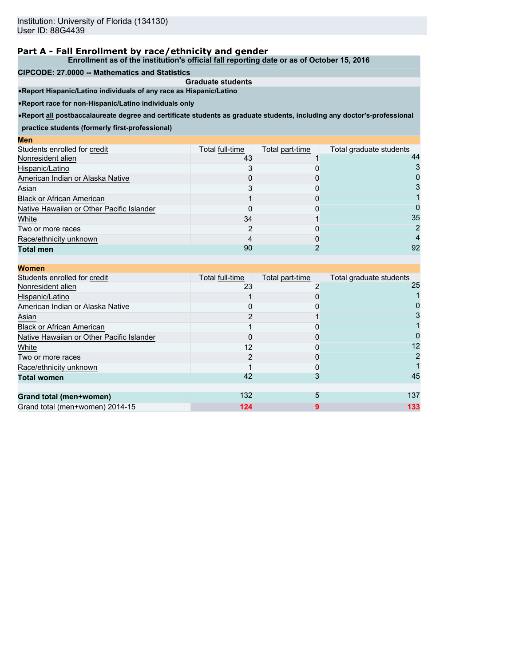**Enrollment as of the institution's official fall reporting date or as of October 15, 2016**

#### **CIPCODE: 27.0000 -- Mathematics and Statistics**

**Graduate students** •**Report Hispanic/Latino individuals of any race as Hispanic/Latino**

•**Report race for non-Hispanic/Latino individuals only**

•**Report all postbaccalaureate degree and certificate students as graduate students, including any doctor's-professional**

**practice students (formerly first-professional)**

| wcu                                       |                 |                 |                         |
|-------------------------------------------|-----------------|-----------------|-------------------------|
| Students enrolled for credit              | Total full-time | Total part-time | Total graduate students |
| Nonresident alien                         | 43              |                 | 44                      |
| Hispanic/Latino                           |                 |                 |                         |
| American Indian or Alaska Native          |                 |                 |                         |
| Asian                                     |                 |                 |                         |
| <b>Black or African American</b>          |                 |                 |                         |
| Native Hawaiian or Other Pacific Islander |                 |                 |                         |
| White                                     | 34              |                 | 35                      |
| Two or more races                         |                 |                 |                         |
| Race/ethnicity unknown                    |                 |                 |                         |
| <b>Total men</b>                          | 90              |                 | 92                      |
|                                           |                 |                 |                         |

| <b>Women</b>                              |                 |                 |                         |
|-------------------------------------------|-----------------|-----------------|-------------------------|
| Students enrolled for credit              | Total full-time | Total part-time | Total graduate students |
| Nonresident alien                         | 23              |                 | 25                      |
| Hispanic/Latino                           |                 |                 |                         |
| American Indian or Alaska Native          |                 |                 |                         |
| Asian                                     |                 |                 |                         |
| <b>Black or African American</b>          |                 |                 |                         |
| Native Hawaiian or Other Pacific Islander |                 |                 |                         |
| White                                     | 12              |                 | 12                      |
| Two or more races                         |                 |                 |                         |
| Race/ethnicity unknown                    |                 |                 |                         |
| <b>Total women</b>                        | 42              |                 | 45                      |
| Grand total (men+women)                   | 132             | 5               | 137                     |
| Grand total (men+women) 2014-15           | 124             |                 | 133                     |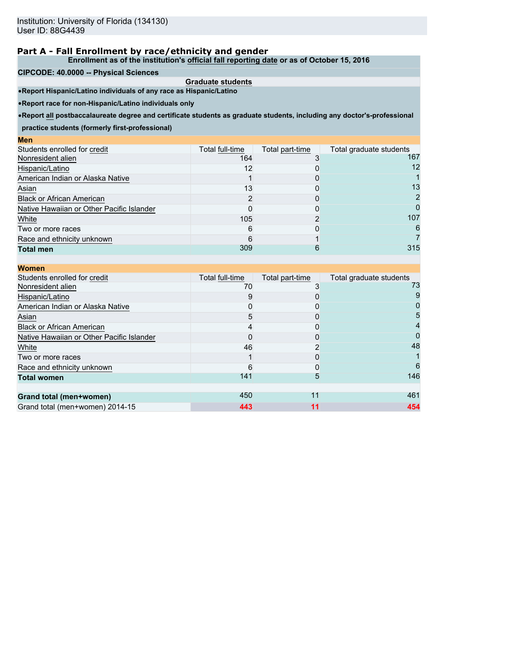**Enrollment as of the institution's official fall reporting date or as of October 15, 2016**

**CIPCODE: 40.0000 -- Physical Sciences**

**Graduate students** •**Report Hispanic/Latino individuals of any race as Hispanic/Latino**

•**Report race for non-Hispanic/Latino individuals only**

•**Report all postbaccalaureate degree and certificate students as graduate students, including any doctor's-professional**

**practice students (formerly first-professional)**

| шы                                        |                 |                 |                         |
|-------------------------------------------|-----------------|-----------------|-------------------------|
| Students enrolled for credit              | Total full-time | Total part-time | Total graduate students |
| Nonresident alien                         | 164             |                 | 167                     |
| Hispanic/Latino                           | 12              |                 | 12                      |
| American Indian or Alaska Native          |                 |                 |                         |
| Asian                                     | 13              |                 | 13                      |
| <b>Black or African American</b>          |                 |                 |                         |
| Native Hawaiian or Other Pacific Islander |                 |                 |                         |
| White                                     | 105             |                 | 107                     |
| Two or more races                         | 6               |                 | 6                       |
| Race and ethnicity unknown                |                 |                 |                         |
| <b>Total men</b>                          | 309             | h               | 315                     |
|                                           |                 |                 |                         |

| <b>Women</b>                              |                 |                 |                         |
|-------------------------------------------|-----------------|-----------------|-------------------------|
| Students enrolled for credit              | Total full-time | Total part-time | Total graduate students |
| Nonresident alien                         | 70              |                 | 73                      |
| Hispanic/Latino                           | 9               |                 |                         |
| American Indian or Alaska Native          |                 |                 |                         |
| Asian                                     | 5               |                 | 5                       |
| <b>Black or African American</b>          |                 |                 |                         |
| Native Hawaiian or Other Pacific Islander |                 |                 |                         |
| White                                     | 46              |                 | 48                      |
| Two or more races                         |                 |                 |                         |
| Race and ethnicity unknown                | 6               |                 | 6                       |
| <b>Total women</b>                        | 141             | 5               | 146                     |
| Grand total (men+women)                   | 450             | 11              | 461                     |
| Grand total (men+women) 2014-15           | 443             | 11              | 454                     |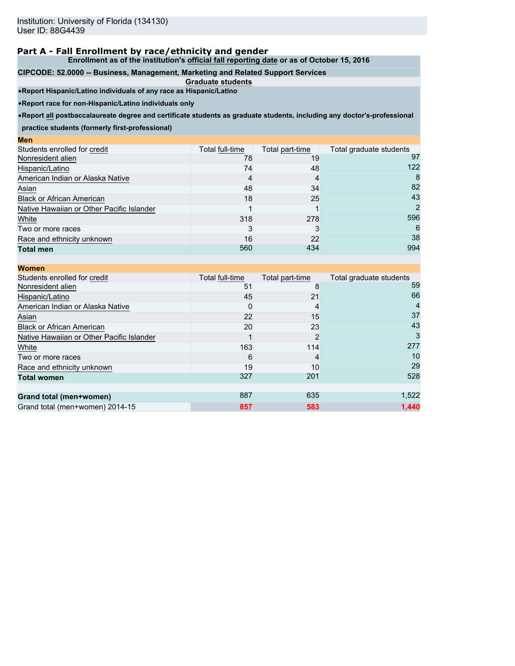**Enrollment as of the institution's official fall reporting date or as of October 15, 2016**

#### **CIPCODE: 52.0000 -- Business, Management, Marketing and Related Support Services**

**Graduate students** •**Report Hispanic/Latino individuals of any race as Hispanic/Latino**

•**Report race for non-Hispanic/Latino individuals only**

•**Report all postbaccalaureate degree and certificate students as graduate students, including any doctor's-professional**

**practice students (formerly first-professional)**

| ww                                        |                 |                 |                         |
|-------------------------------------------|-----------------|-----------------|-------------------------|
| Students enrolled for credit              | Total full-time | Total part-time | Total graduate students |
| Nonresident alien                         | 78              | 19              | 97                      |
| Hispanic/Latino                           | 74              | 48              | 122                     |
| American Indian or Alaska Native          |                 | 4               | 8                       |
| Asian                                     | 48              | 34              | 82                      |
| <b>Black or African American</b>          | 18              | 25              | 43                      |
| Native Hawaiian or Other Pacific Islander |                 |                 | 2                       |
| White                                     | 318             | 278             | 596                     |
| Two or more races                         |                 |                 | 6                       |
| Race and ethnicity unknown                | 16              | 22              | 38                      |
| <b>Total men</b>                          | 560             | 434             | 994                     |
|                                           |                 |                 |                         |

| <b>Women</b>                              |                 |                 |                         |
|-------------------------------------------|-----------------|-----------------|-------------------------|
| Students enrolled for credit              | Total full-time | Total part-time | Total graduate students |
| Nonresident alien                         | 51              | 8               | 59                      |
| Hispanic/Latino                           | 45              | 21              | 66                      |
| American Indian or Alaska Native          |                 | 4               |                         |
| Asian                                     | 22              | 15              | 37                      |
| <b>Black or African American</b>          | 20              | 23              | 43                      |
| Native Hawaiian or Other Pacific Islander |                 | 2               | 3                       |
| White                                     | 163             | 114             | 277                     |
| Two or more races                         | 6               | 4               | 10                      |
| Race and ethnicity unknown                | 19              | 10              | 29                      |
| <b>Total women</b>                        | 327             | 201             | 528                     |
|                                           |                 |                 |                         |
| Grand total (men+women)                   | 887             | 635             | 1,522                   |
| Grand total (men+women) 2014-15           | 857             | 583             | 1,440                   |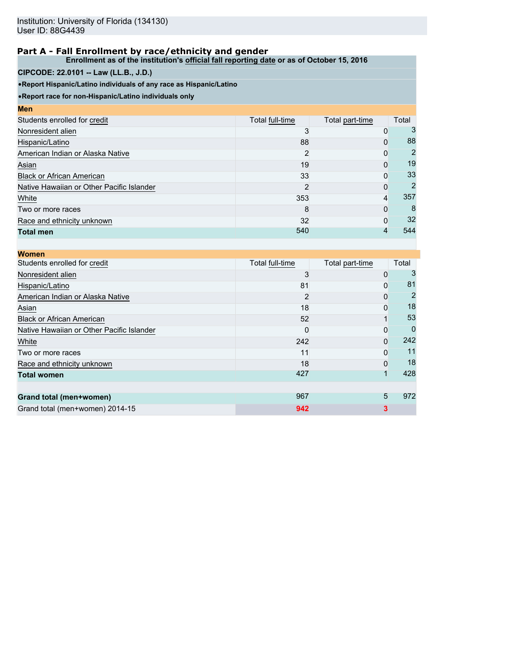**Enrollment as of the institution's official fall reporting date or as of October 15, 2016**

### **CIPCODE: 22.0101 -- Law (LL.B., J.D.)**

•**Report Hispanic/Latino individuals of any race as Hispanic/Latino**

| <b>Men</b>                                |                 |                 |       |
|-------------------------------------------|-----------------|-----------------|-------|
| Students enrolled for credit              | Total full-time | Total part-time | Total |
| Nonresident alien                         |                 | 0               | 3     |
| Hispanic/Latino                           | 88              | 0               | 88    |
| American Indian or Alaska Native          | 2               | 0               | 2     |
| Asian                                     | 19              | $\Omega$        | 19    |
| <b>Black or African American</b>          | 33              | $\Omega$        | 33    |
| Native Hawaiian or Other Pacific Islander | 2               | $\Omega$        | 2     |
| White                                     | 353             | 4               | 357   |
| Two or more races                         | 8               | $\Omega$        | 8     |
| Race and ethnicity unknown                | 32              | $\Omega$        | 32    |
| <b>Total men</b>                          | 540             |                 | 544   |

| <b>Women</b>                              |                 |                 |       |
|-------------------------------------------|-----------------|-----------------|-------|
| Students enrolled for credit              | Total full-time | Total part-time | Total |
| Nonresident alien                         |                 | 0               |       |
| Hispanic/Latino                           | 81              | 0               | 81    |
| American Indian or Alaska Native          |                 | 0               |       |
| Asian                                     | 18              | 0               | 18    |
| <b>Black or African American</b>          | 52              |                 | 53    |
| Native Hawaiian or Other Pacific Islander | O               | 0               |       |
| White                                     | 242             | 0               | 242   |
| Two or more races                         | 11              | 0               | 11    |
| Race and ethnicity unknown                | 18              | $\Omega$        | 18    |
| <b>Total women</b>                        | 427             |                 | 428   |
|                                           |                 |                 |       |
| Grand total (men+women)                   | 967             | 5               | 972   |
| Grand total (men+women) 2014-15           | 942             | 3               |       |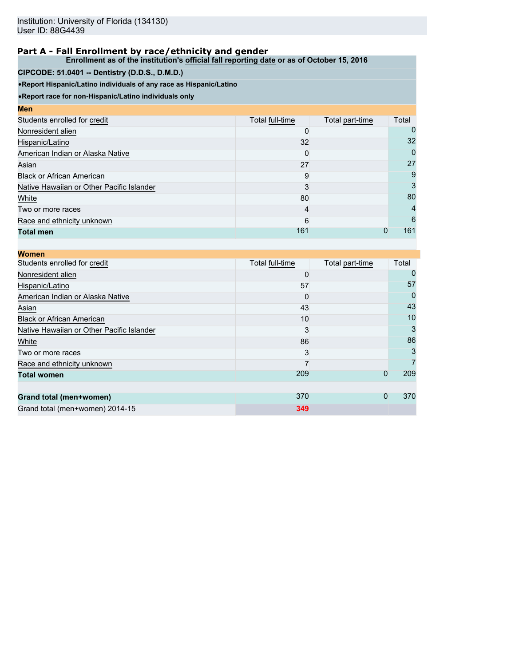**Enrollment as of the institution's official fall reporting date or as of October 15, 2016**

## **CIPCODE: 51.0401 -- Dentistry (D.D.S., D.M.D.)**

•**Report Hispanic/Latino individuals of any race as Hispanic/Latino**

| <b>Men</b>                                |                 |                 |       |
|-------------------------------------------|-----------------|-----------------|-------|
| Students enrolled for credit              | Total full-time | Total part-time | Total |
| Nonresident alien                         |                 |                 |       |
| Hispanic/Latino                           | 32              |                 | 32    |
| American Indian or Alaska Native          | 0               |                 | 0     |
| Asian                                     | 27              |                 | 27    |
| <b>Black or African American</b>          | 9               |                 | 9     |
| Native Hawaiian or Other Pacific Islander | 3               |                 | 3     |
| White                                     | 80              |                 | 80    |
| Two or more races                         | 4               |                 | 4     |
| Race and ethnicity unknown                | 6               |                 | 6     |
| <b>Total men</b>                          | 161             | 0               | 161   |

| <b>Women</b>                              |                 |                 |       |
|-------------------------------------------|-----------------|-----------------|-------|
| Students enrolled for credit              | Total full-time | Total part-time | Total |
| Nonresident alien                         |                 |                 |       |
| Hispanic/Latino                           | 57              |                 | 57    |
| American Indian or Alaska Native          |                 |                 |       |
| Asian                                     | 43              |                 | 43    |
| <b>Black or African American</b>          | 10              |                 | 10    |
| Native Hawaiian or Other Pacific Islander |                 |                 |       |
| White                                     | 86              |                 | 86    |
| Two or more races                         |                 |                 |       |
| Race and ethnicity unknown                |                 |                 |       |
| <b>Total women</b>                        | 209             | $\mathbf 0$     | 209   |
|                                           |                 |                 |       |
| Grand total (men+women)                   | 370             | $\mathbf{0}$    | 370   |
| Grand total (men+women) 2014-15           | 349             |                 |       |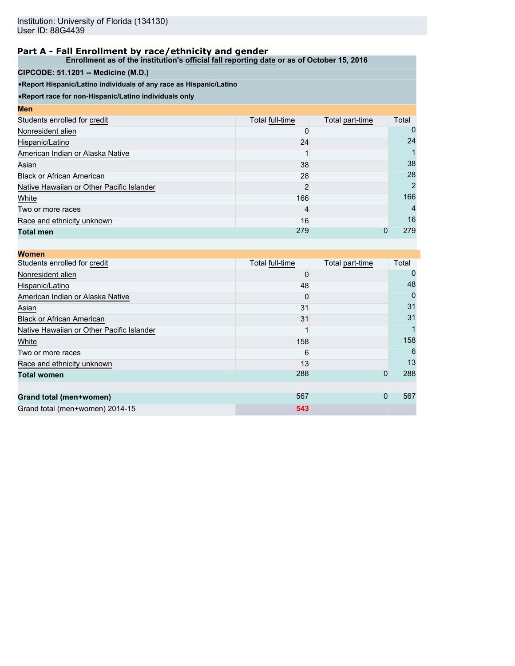**Enrollment as of the institution's official fall reporting date or as of October 15, 2016**

## **CIPCODE: 51.1201 -- Medicine (M.D.)**

•**Report Hispanic/Latino individuals of any race as Hispanic/Latino**

| <b>Men</b>                                |                 |                 |                |
|-------------------------------------------|-----------------|-----------------|----------------|
| Students enrolled for credit              | Total full-time | Total part-time | Total          |
| Nonresident alien                         |                 |                 | 0              |
| Hispanic/Latino                           | 24              |                 | 24             |
| American Indian or Alaska Native          |                 |                 |                |
| Asian                                     | 38              |                 | 38             |
| <b>Black or African American</b>          | 28              |                 | 28             |
| Native Hawaiian or Other Pacific Islander | 2               |                 | 2              |
| White                                     | 166             |                 | 166            |
| Two or more races                         | 4               |                 | $\overline{4}$ |
| Race and ethnicity unknown                | 16              |                 | 16             |
| <b>Total men</b>                          | 279             |                 | 279            |

| <b>Women</b>                              |                 |                 |       |
|-------------------------------------------|-----------------|-----------------|-------|
| Students enrolled for credit              | Total full-time | Total part-time | Total |
| Nonresident alien                         |                 |                 |       |
| Hispanic/Latino                           | 48              |                 | 48    |
| American Indian or Alaska Native          |                 |                 |       |
| Asian                                     | 31              |                 | 31    |
| <b>Black or African American</b>          | 31              |                 | 31    |
| Native Hawaiian or Other Pacific Islander |                 |                 |       |
| White                                     | 158             |                 | 158   |
| Two or more races                         | 6               |                 | 6     |
| Race and ethnicity unknown                | 13              |                 | 13    |
| <b>Total women</b>                        | 288             | $\mathbf 0$     | 288   |
|                                           |                 |                 |       |
| Grand total (men+women)                   | 567             | $\mathbf{0}$    | 567   |
| Grand total (men+women) 2014-15           | 543             |                 |       |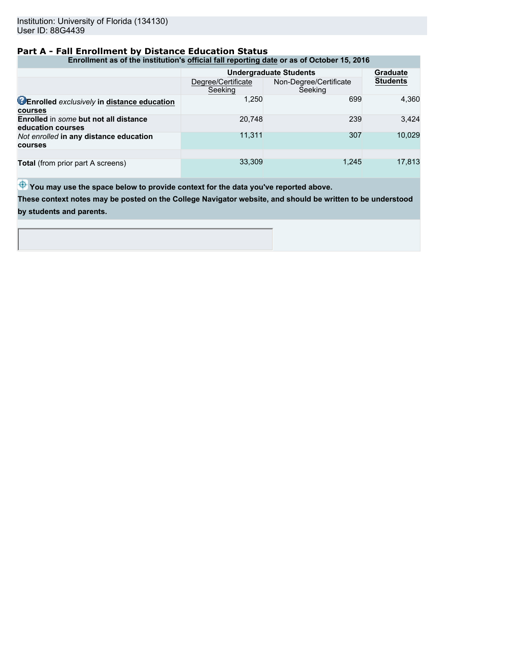### **Part A - Fall Enrollment by Distance Education Status**

**Enrollment as of the institution's official fall reporting date or as of October 15, 2016**

|                                                                   |                               | <b>Undergraduate Students</b>     | <b>Graduate</b> |  |
|-------------------------------------------------------------------|-------------------------------|-----------------------------------|-----------------|--|
|                                                                   | Degree/Certificate<br>Seeking | Non-Degree/Certificate<br>Seeking | <b>Students</b> |  |
| <b>CEnrolled</b> exclusively in distance education<br>courses     | 1,250                         | 699                               | 4.360           |  |
| <b>Enrolled</b> in some but not all distance<br>education courses | 20.748                        | 239                               | 3.424           |  |
| Not enrolled in any distance education<br>courses                 | 11.311                        | 307                               | 10.029          |  |
|                                                                   |                               |                                   |                 |  |
| <b>Total</b> (from prior part A screens)                          | 33,309                        | 1.245                             | 17,813          |  |

 $\bigoplus$  You may use the space below to provide context for the data you've reported above.

**These context notes may be posted on the College Navigator website, and should be written to be understood by students and parents.**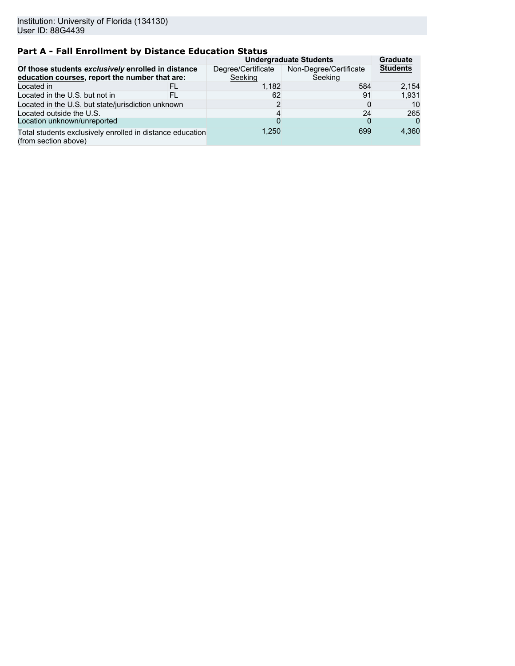# **Part A - Fall Enrollment by Distance Education Status**

|                                                                                                      |    | <b>Undergraduate Students</b> | <b>Graduate</b>                   |                 |
|------------------------------------------------------------------------------------------------------|----|-------------------------------|-----------------------------------|-----------------|
| Of those students exclusively enrolled in distance<br>education courses, report the number that are: |    | Degree/Certificate<br>Seeking | Non-Degree/Certificate<br>Seeking | <b>Students</b> |
| Located in                                                                                           | FL | 1.182                         | 584                               | 2,154           |
| Located in the U.S. but not in                                                                       | FL | 62                            | 91                                | 1.931           |
| Located in the U.S. but state/jurisdiction unknown                                                   |    |                               |                                   | 10              |
| Located outside the U.S.                                                                             |    |                               | 24                                | 265             |
| Location unknown/unreported                                                                          |    |                               |                                   | $\Omega$        |
| Total students exclusively enrolled in distance education<br>(from section above)                    |    | 1.250                         | 699                               | 4.360           |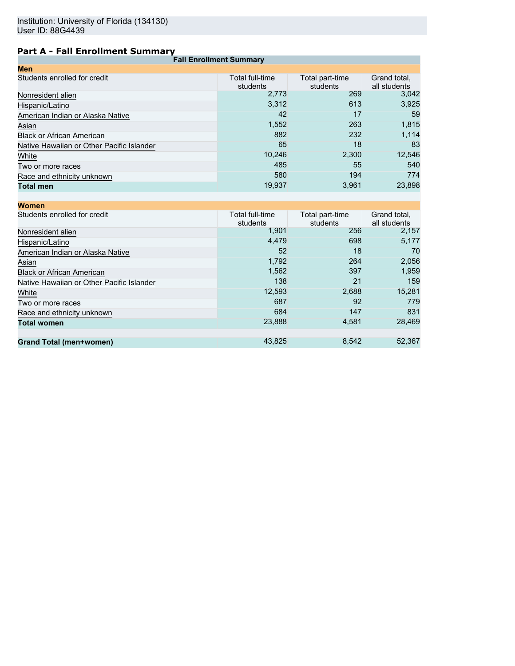# **Part A - Fall Enrollment Summary**

| <b>Fall Enrollment Summary</b>            |                             |                             |                              |  |  |
|-------------------------------------------|-----------------------------|-----------------------------|------------------------------|--|--|
| <b>Men</b>                                |                             |                             |                              |  |  |
| Students enrolled for credit              | Total full-time<br>students | Total part-time<br>students | Grand total.<br>all students |  |  |
| Nonresident alien                         | 2,773                       | 269                         | 3,042                        |  |  |
| Hispanic/Latino                           | 3,312                       | 613                         | 3,925                        |  |  |
| American Indian or Alaska Native          | 42                          | 17                          | 59                           |  |  |
| Asian                                     | 1,552                       | 263                         | 1,815                        |  |  |
| <b>Black or African American</b>          | 882                         | 232                         | 1,114                        |  |  |
| Native Hawaiian or Other Pacific Islander | 65                          | 18                          | 83                           |  |  |
| White                                     | 10,246                      | 2,300                       | 12,546                       |  |  |
| Two or more races                         | 485                         | 55                          | 540                          |  |  |
| Race and ethnicity unknown                | 580                         | 194                         | 774                          |  |  |
| <b>Total men</b>                          | 19,937                      | 3,961                       | 23,898                       |  |  |
|                                           |                             |                             |                              |  |  |

| Total full-time<br>students | Total part-time<br>students | Grand total,<br>all students |
|-----------------------------|-----------------------------|------------------------------|
| 1.901                       | 256                         | 2,157                        |
| 4,479                       | 698                         | 5,177                        |
| 52                          | 18                          | 70                           |
| 1,792                       | 264                         | 2,056                        |
| 1,562                       | 397                         | 1,959                        |
| 138                         | 21                          | 159                          |
| 12,593                      | 2,688                       | 15,281                       |
| 687                         | 92                          | 779                          |
| 684                         | 147                         | 831                          |
| 23,888                      | 4,581                       | 28,469                       |
|                             |                             |                              |
| 43,825                      | 8,542                       | 52,367                       |
|                             |                             |                              |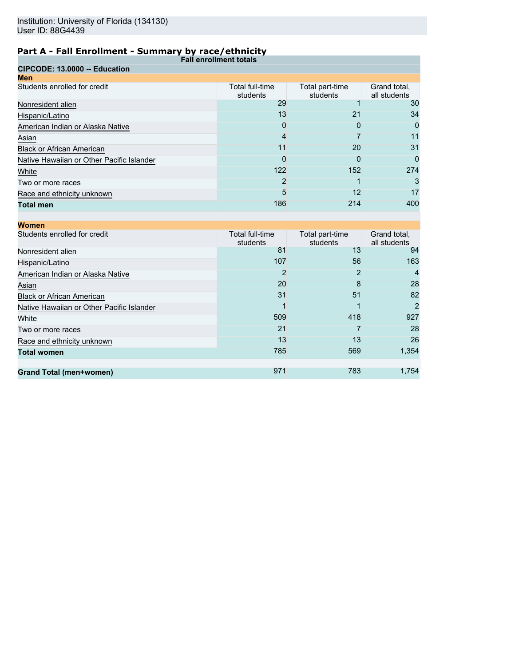| .<br><b>Fall enrollment totals</b>        |                             |                             |                              |
|-------------------------------------------|-----------------------------|-----------------------------|------------------------------|
| CIPCODE: 13.0000 -- Education             |                             |                             |                              |
| <b>Men</b>                                |                             |                             |                              |
| Students enrolled for credit              | Total full-time<br>students | Total part-time<br>students | Grand total,<br>all students |
| Nonresident alien                         | 29                          |                             | 30                           |
| Hispanic/Latino                           | 13                          | 21                          | 34                           |
| American Indian or Alaska Native          | 0                           | O                           | 0                            |
| Asian                                     | 4                           |                             | 11                           |
| <b>Black or African American</b>          | 11                          | 20                          | 31                           |
| Native Hawaiian or Other Pacific Islander | 0                           | O                           | 0                            |
| White                                     | 122                         | 152                         | 274                          |
| Two or more races                         | 2                           |                             | 3                            |
| Race and ethnicity unknown                | 5                           | 12                          | 17                           |
| <b>Total men</b>                          | 186                         | 214                         | 400                          |

| <b>Women</b>                              |                             |                             |                              |
|-------------------------------------------|-----------------------------|-----------------------------|------------------------------|
| Students enrolled for credit              | Total full-time<br>students | Total part-time<br>students | Grand total,<br>all students |
| Nonresident alien                         | 81                          | 13                          | 94                           |
| Hispanic/Latino                           | 107                         | 56                          | 163                          |
| American Indian or Alaska Native          | 2                           | 2                           | 4                            |
| Asian                                     | 20                          | 8                           | 28                           |
| <b>Black or African American</b>          | 31                          | 51                          | 82                           |
| Native Hawaiian or Other Pacific Islander |                             |                             | 2                            |
| White                                     | 509                         | 418                         | 927                          |
| Two or more races                         | 21                          |                             | 28                           |
| Race and ethnicity unknown                | 13                          | 13                          | 26                           |
| <b>Total women</b>                        | 785                         | 569                         | 1,354                        |
|                                           |                             |                             |                              |
| <b>Grand Total (men+women)</b>            | 971                         | 783                         | 1,754                        |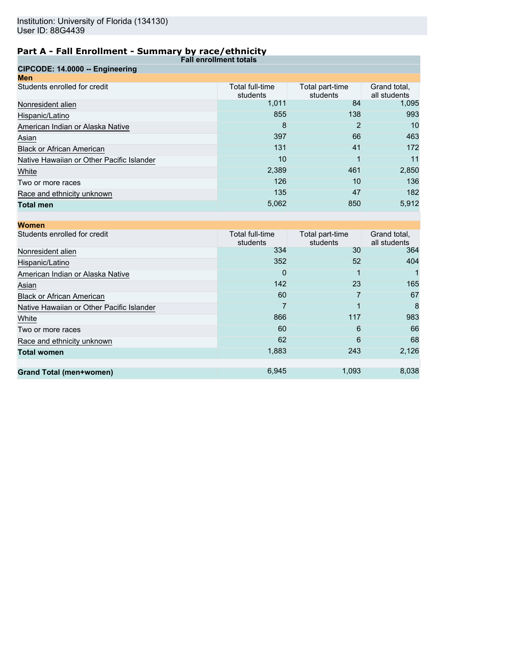|                                           | ------------<br><b>Fall enrollment totals</b> |                             |                              |
|-------------------------------------------|-----------------------------------------------|-----------------------------|------------------------------|
| CIPCODE: 14.0000 -- Engineering           |                                               |                             |                              |
| <b>Men</b>                                |                                               |                             |                              |
| Students enrolled for credit              | Total full-time<br>students                   | Total part-time<br>students | Grand total,<br>all students |
| Nonresident alien                         | 1,011                                         | 84                          | 1,095                        |
| Hispanic/Latino                           | 855                                           | 138                         | 993                          |
| American Indian or Alaska Native          | 8                                             | 2                           | 10                           |
| Asian                                     | 397                                           | 66                          | 463                          |
| <b>Black or African American</b>          | 131                                           | 41                          | 172                          |
| Native Hawaiian or Other Pacific Islander | 10                                            |                             | 11                           |
| White                                     | 2,389                                         | 461                         | 2,850                        |
| Two or more races                         | 126                                           | 10                          | 136                          |
| Race and ethnicity unknown                | 135                                           | 47                          | 182                          |
| <b>Total men</b>                          | 5,062                                         | 850                         | 5,912                        |
|                                           |                                               |                             |                              |
| <b>Women</b>                              |                                               |                             |                              |

| .                                         |                             |                             |                              |
|-------------------------------------------|-----------------------------|-----------------------------|------------------------------|
| Students enrolled for credit              | Total full-time<br>students | Total part-time<br>students | Grand total,<br>all students |
| Nonresident alien                         | 334                         | 30                          | 364                          |
| Hispanic/Latino                           | 352                         | 52                          | 404                          |
| American Indian or Alaska Native          | 0                           |                             |                              |
| Asian                                     | 142                         | 23                          | 165                          |
| <b>Black or African American</b>          | 60                          |                             | 67                           |
| Native Hawaiian or Other Pacific Islander |                             |                             | 8                            |
| White                                     | 866                         | 117                         | 983                          |
| Two or more races                         | 60                          | 6                           | 66                           |
| Race and ethnicity unknown                | 62                          | 6                           | 68                           |
| <b>Total women</b>                        | 1,883                       | 243                         | 2,126                        |
|                                           |                             |                             |                              |
| <b>Grand Total (men+women)</b>            | 6,945                       | 1,093                       | 8,038                        |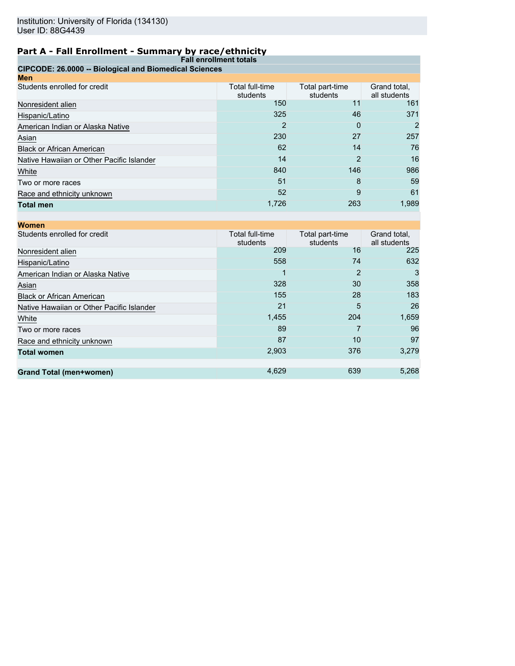| <b>Fall enrollment totals</b>                          |                             |                             |                              |
|--------------------------------------------------------|-----------------------------|-----------------------------|------------------------------|
| CIPCODE: 26.0000 -- Biological and Biomedical Sciences |                             |                             |                              |
| Men                                                    |                             |                             |                              |
| Students enrolled for credit                           | Total full-time<br>students | Total part-time<br>students | Grand total,<br>all students |
| Nonresident alien                                      | 150                         | 11                          | 161                          |
| Hispanic/Latino                                        | 325                         | 46                          | 371                          |
| American Indian or Alaska Native                       | 2                           | 0                           | 2                            |
| Asian                                                  | 230                         | 27                          | 257                          |
| <b>Black or African American</b>                       | 62                          | 14                          | 76                           |
| Native Hawaiian or Other Pacific Islander              | 14                          | 2                           | 16                           |
| White                                                  | 840                         | 146                         | 986                          |
| Two or more races                                      | 51                          | 8                           | 59                           |
| Race and ethnicity unknown                             | 52                          | 9                           | 61                           |
| <b>Total men</b>                                       | 1,726                       | 263                         | 1,989                        |

| <b>Women</b>                              |                             |                             |                              |
|-------------------------------------------|-----------------------------|-----------------------------|------------------------------|
| Students enrolled for credit              | Total full-time<br>students | Total part-time<br>students | Grand total,<br>all students |
| Nonresident alien                         | 209                         | 16                          | 225                          |
| Hispanic/Latino                           | 558                         | 74                          | 632                          |
| American Indian or Alaska Native          |                             | 2                           | 3                            |
| Asian                                     | 328                         | 30                          | 358                          |
| <b>Black or African American</b>          | 155                         | 28                          | 183                          |
| Native Hawaiian or Other Pacific Islander | 21                          | 5                           | 26                           |
| White                                     | 1,455                       | 204                         | 1,659                        |
| Two or more races                         | 89                          |                             | 96                           |
| Race and ethnicity unknown                | 87                          | 10                          | 97                           |
| <b>Total women</b>                        | 2,903                       | 376                         | 3,279                        |
|                                           |                             |                             |                              |
| <b>Grand Total (men+women)</b>            | 4,629                       | 639                         | 5,268                        |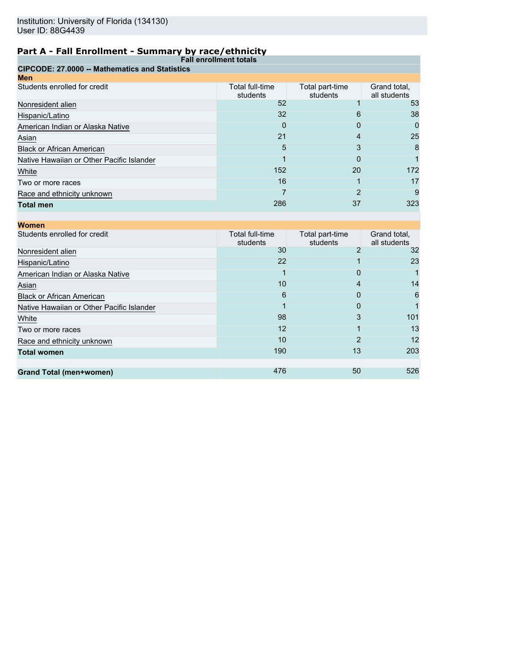| <b>Fall enrollment totals</b>                         |                             |                             |                              |
|-------------------------------------------------------|-----------------------------|-----------------------------|------------------------------|
| <b>CIPCODE: 27,0000 -- Mathematics and Statistics</b> |                             |                             |                              |
| Men                                                   |                             |                             |                              |
| Students enrolled for credit                          | Total full-time<br>students | Total part-time<br>students | Grand total,<br>all students |
| Nonresident alien                                     | 52                          |                             | 53                           |
| Hispanic/Latino                                       | 32                          | 6                           | 38                           |
| American Indian or Alaska Native                      | 0                           | 0                           | 0                            |
| Asian                                                 | 21                          | 4                           | 25                           |
| <b>Black or African American</b>                      | 5                           | 3                           | 8                            |
| Native Hawaiian or Other Pacific Islander             |                             | O                           |                              |
| White                                                 | 152                         | 20                          | 172                          |
| Two or more races                                     | 16                          |                             | 17                           |
| Race and ethnicity unknown                            |                             |                             | 9                            |
| <b>Total men</b>                                      | 286                         | 37                          | 323                          |

| <b>Women</b>                              |                             |                             |                              |
|-------------------------------------------|-----------------------------|-----------------------------|------------------------------|
| Students enrolled for credit              | Total full-time<br>students | Total part-time<br>students | Grand total,<br>all students |
| Nonresident alien                         | 30                          |                             | 32                           |
| Hispanic/Latino                           | 22                          |                             | 23                           |
| American Indian or Alaska Native          |                             | 0                           |                              |
| Asian                                     | 10                          | 4                           | 14                           |
| <b>Black or African American</b>          | 6                           | 0                           | 6                            |
| Native Hawaiian or Other Pacific Islander |                             | 0                           |                              |
| White                                     | 98                          | 3                           | 101                          |
| Two or more races                         | 12                          |                             | 13                           |
| Race and ethnicity unknown                | 10                          | 2                           | 12                           |
| <b>Total women</b>                        | 190                         | 13                          | 203                          |
|                                           |                             |                             |                              |
| <b>Grand Total (men+women)</b>            | 476                         | 50                          | 526                          |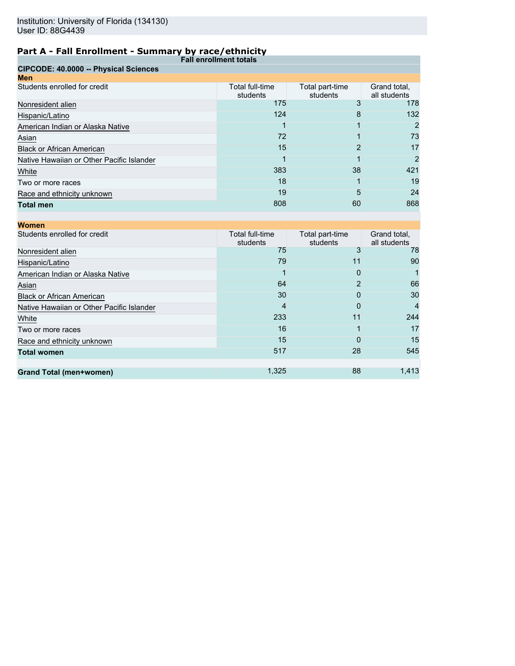| <b>Fall enrollment totals</b>             |                             |                             |                              |
|-------------------------------------------|-----------------------------|-----------------------------|------------------------------|
| CIPCODE: 40.0000 -- Physical Sciences     |                             |                             |                              |
| <b>Men</b>                                |                             |                             |                              |
| Students enrolled for credit              | Total full-time<br>students | Total part-time<br>students | Grand total,<br>all students |
| Nonresident alien                         | 175                         |                             | 178                          |
| Hispanic/Latino                           | 124                         | 8                           | 132                          |
| American Indian or Alaska Native          |                             |                             | 2                            |
| Asian                                     | 72                          |                             | 73                           |
| <b>Black or African American</b>          | 15                          | 2                           | 17                           |
| Native Hawaiian or Other Pacific Islander |                             |                             | 2                            |
| White                                     | 383                         | 38                          | 421                          |
| Two or more races                         | 18                          |                             | 19                           |
| Race and ethnicity unknown                | 19                          | 5                           | 24                           |
| <b>Total men</b>                          | 808                         | 60                          | 868                          |

| <b>Women</b>                              |                             |                             |                              |
|-------------------------------------------|-----------------------------|-----------------------------|------------------------------|
| Students enrolled for credit              | Total full-time<br>students | Total part-time<br>students | Grand total,<br>all students |
| Nonresident alien                         | 75                          | 3                           | 78                           |
| Hispanic/Latino                           | 79                          | 11                          | 90                           |
| American Indian or Alaska Native          |                             | 0                           |                              |
| Asian                                     | 64                          |                             | 66                           |
| <b>Black or African American</b>          | 30                          | 0                           | 30                           |
| Native Hawaiian or Other Pacific Islander | 4                           | 0                           |                              |
| White                                     | 233                         | 11                          | 244                          |
| Two or more races                         | 16                          |                             | 17                           |
| Race and ethnicity unknown                | 15                          | O                           | 15                           |
| <b>Total women</b>                        | 517                         | 28                          | 545                          |
|                                           |                             |                             |                              |
| <b>Grand Total (men+women)</b>            | 1,325                       | 88                          | 1,413                        |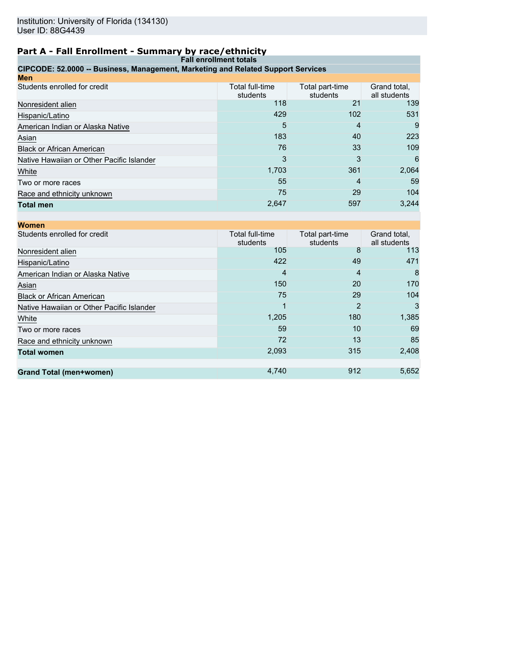| <b>Fall enrollment totals</b>                                                    |                             |                             |                              |
|----------------------------------------------------------------------------------|-----------------------------|-----------------------------|------------------------------|
| CIPCODE: 52.0000 -- Business, Management, Marketing and Related Support Services |                             |                             |                              |
| Men                                                                              |                             |                             |                              |
| Students enrolled for credit                                                     | Total full-time<br>students | Total part-time<br>students | Grand total.<br>all students |
| Nonresident alien                                                                | 118                         | 21                          | 139                          |
| Hispanic/Latino                                                                  | 429                         | 102                         | 531                          |
| American Indian or Alaska Native                                                 | 5                           | 4                           | 9                            |
| Asian                                                                            | 183                         | 40                          | 223                          |
| <b>Black or African American</b>                                                 | 76                          | 33                          | 109                          |
| Native Hawaiian or Other Pacific Islander                                        | 3                           | 3                           | 6                            |
| White                                                                            | 1,703                       | 361                         | 2,064                        |
| Two or more races                                                                | 55                          | 4                           | 59                           |
| Race and ethnicity unknown                                                       | 75                          | 29                          | 104                          |
| <b>Total men</b>                                                                 | 2,647                       | 597                         | 3,244                        |
|                                                                                  |                             |                             |                              |

| <b>Women</b>                              |                             |                             |                              |
|-------------------------------------------|-----------------------------|-----------------------------|------------------------------|
| Students enrolled for credit              | Total full-time<br>students | Total part-time<br>students | Grand total,<br>all students |
| Nonresident alien                         | 105                         | 8                           | 113                          |
| Hispanic/Latino                           | 422                         | 49                          | 471                          |
| American Indian or Alaska Native          | 4                           | 4                           | 8                            |
| Asian                                     | 150                         | 20                          | 170                          |
| <b>Black or African American</b>          | 75                          | 29                          | 104                          |
| Native Hawaiian or Other Pacific Islander |                             | 2                           | 3                            |
| White                                     | 1,205                       | 180                         | 1,385                        |
| Two or more races                         | 59                          | 10                          | 69                           |
| Race and ethnicity unknown                | 72                          | 13                          | 85                           |
| <b>Total women</b>                        | 2,093                       | 315                         | 2,408                        |
|                                           |                             |                             |                              |
| <b>Grand Total (men+women)</b>            | 4,740                       | 912                         | 5,652                        |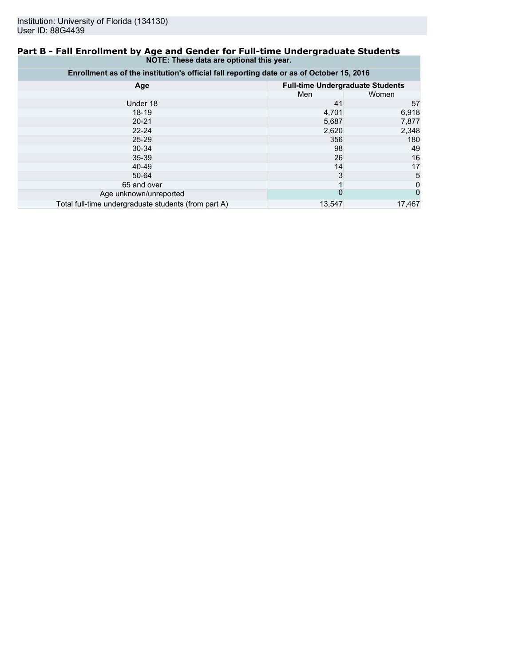### **Part B - Fall Enrollment by Age and Gender for Full-time Undergraduate Students NOTE: These data are optional this year.**

| Enrollment as of the institution's official fall reporting date or as of October 15, 2016 |                                         |        |  |
|-------------------------------------------------------------------------------------------|-----------------------------------------|--------|--|
| Age                                                                                       | <b>Full-time Undergraduate Students</b> |        |  |
|                                                                                           | Men                                     | Women  |  |
| Under 18                                                                                  | 41                                      | 57     |  |
| $18 - 19$                                                                                 | 4,701                                   | 6,918  |  |
| $20 - 21$                                                                                 | 5,687                                   | 7,877  |  |
| $22 - 24$                                                                                 | 2,620                                   | 2,348  |  |
| $25 - 29$                                                                                 | 356                                     | 180    |  |
| $30 - 34$                                                                                 | 98                                      | 49     |  |
| $35 - 39$                                                                                 | 26                                      | 16     |  |
| 40-49                                                                                     | 14                                      | 17     |  |
| 50-64                                                                                     | 3                                       | 5      |  |
| 65 and over                                                                               |                                         | 0      |  |
| Age unknown/unreported                                                                    | 0                                       | 0      |  |
| Total full-time undergraduate students (from part A)                                      | 13,547                                  | 17,467 |  |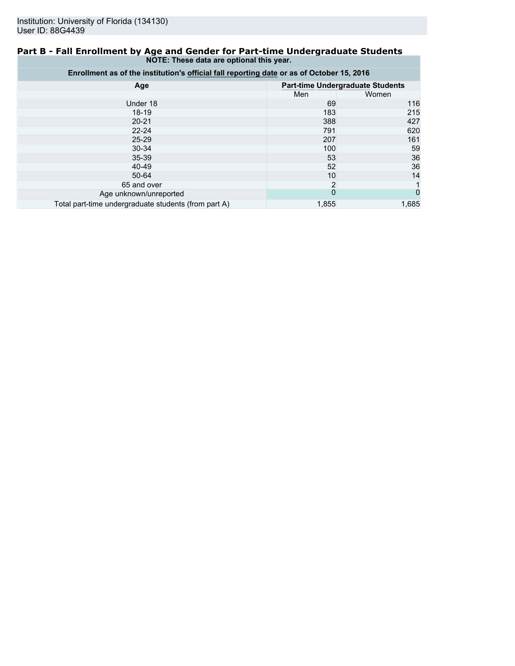### **Part B - Fall Enrollment by Age and Gender for Part-time Undergraduate Students NOTE: These data are optional this year.**

| Enrollment as of the institution's official fall reporting date or as of October 15, 2016 |                                         |       |  |
|-------------------------------------------------------------------------------------------|-----------------------------------------|-------|--|
| Age                                                                                       | <b>Part-time Undergraduate Students</b> |       |  |
|                                                                                           | Men                                     | Women |  |
| Under 18                                                                                  | 69                                      | 116   |  |
| $18-19$                                                                                   | 183                                     | 215   |  |
| $20 - 21$                                                                                 | 388                                     | 427   |  |
| $22 - 24$                                                                                 | 791                                     | 620   |  |
| $25 - 29$                                                                                 | 207                                     | 161   |  |
| 30-34                                                                                     | 100                                     | 59    |  |
| 35-39                                                                                     | 53                                      | 36    |  |
| 40-49                                                                                     | 52                                      | 36    |  |
| 50-64                                                                                     | 10                                      | 14    |  |
| 65 and over                                                                               | $\overline{2}$                          |       |  |
| Age unknown/unreported                                                                    | $\overline{0}$                          | 0     |  |
| Total part-time undergraduate students (from part A)                                      | 1,855                                   | 1.685 |  |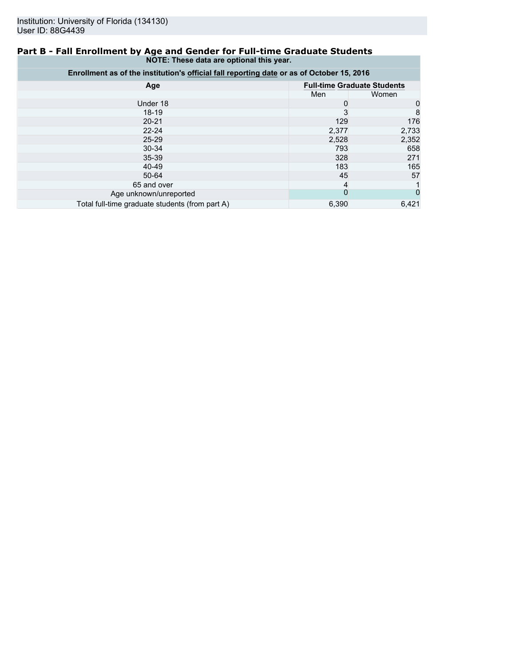### **Part B - Fall Enrollment by Age and Gender for Full-time Graduate Students NOTE: These data are optional this year.**

| Enrollment as of the institution's official fall reporting date or as of October 15, 2016 |                |                                    |  |
|-------------------------------------------------------------------------------------------|----------------|------------------------------------|--|
| Age                                                                                       |                | <b>Full-time Graduate Students</b> |  |
|                                                                                           | Men            | Women                              |  |
| Under 18                                                                                  | 0              | 0                                  |  |
| $18-19$                                                                                   | 3              | 8                                  |  |
| $20 - 21$                                                                                 | 129            | 176                                |  |
| $22 - 24$                                                                                 | 2,377          | 2,733                              |  |
| $25 - 29$                                                                                 | 2,528          | 2,352                              |  |
| 30-34                                                                                     | 793            | 658                                |  |
| 35-39                                                                                     | 328            | 271                                |  |
| 40-49                                                                                     | 183            | 165                                |  |
| 50-64                                                                                     | 45             | 57                                 |  |
| 65 and over                                                                               | 4              |                                    |  |
| Age unknown/unreported                                                                    | $\overline{0}$ |                                    |  |
| Total full-time graduate students (from part A)                                           | 6,390          | 6,421                              |  |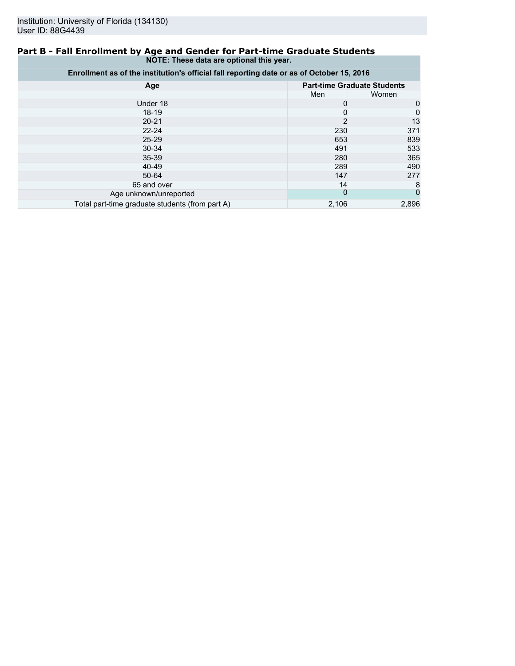### **Part B - Fall Enrollment by Age and Gender for Part-time Graduate Students NOTE: These data are optional this year.**

| Enrollment as of the institution's official fall reporting date or as of October 15, 2016 |                                    |       |  |
|-------------------------------------------------------------------------------------------|------------------------------------|-------|--|
| Age                                                                                       | <b>Part-time Graduate Students</b> |       |  |
|                                                                                           | Men                                | Women |  |
| Under 18                                                                                  | 0                                  | 0     |  |
| 18-19                                                                                     | 0                                  | 0     |  |
| $20 - 21$                                                                                 | $\overline{2}$                     | 13    |  |
| $22 - 24$                                                                                 | 230                                | 371   |  |
| $25 - 29$                                                                                 | 653                                | 839   |  |
| $30 - 34$                                                                                 | 491                                | 533   |  |
| $35 - 39$                                                                                 | 280                                | 365   |  |
| 40-49                                                                                     | 289                                | 490   |  |
| 50-64                                                                                     | 147                                | 277   |  |
| 65 and over                                                                               | 14                                 | 8     |  |
| Age unknown/unreported                                                                    | $\mathbf 0$                        | 0     |  |
| Total part-time graduate students (from part A)                                           | 2,106                              | 2,896 |  |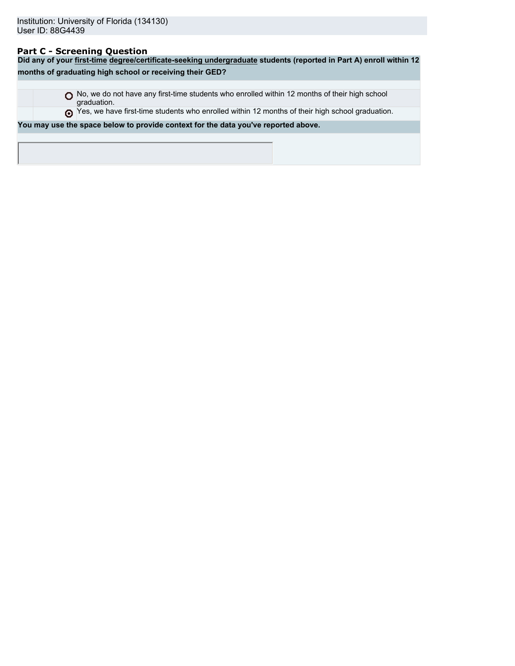# **Part C - Screening Question**

| Did any of your first-time degree/certificate-seeking undergraduate students (reported in Part A) enroll within 12 |  |  |  |
|--------------------------------------------------------------------------------------------------------------------|--|--|--|
| months of graduating high school or receiving their GED?                                                           |  |  |  |
|                                                                                                                    |  |  |  |
| No, we do not have any first-time students who enrolled within 12 months of their high school<br>graduation.       |  |  |  |
| Thes, we have first-time students who enrolled within 12 months of their high school graduation.                   |  |  |  |
| You may use the space below to provide context for the data you've reported above.                                 |  |  |  |
|                                                                                                                    |  |  |  |
|                                                                                                                    |  |  |  |
|                                                                                                                    |  |  |  |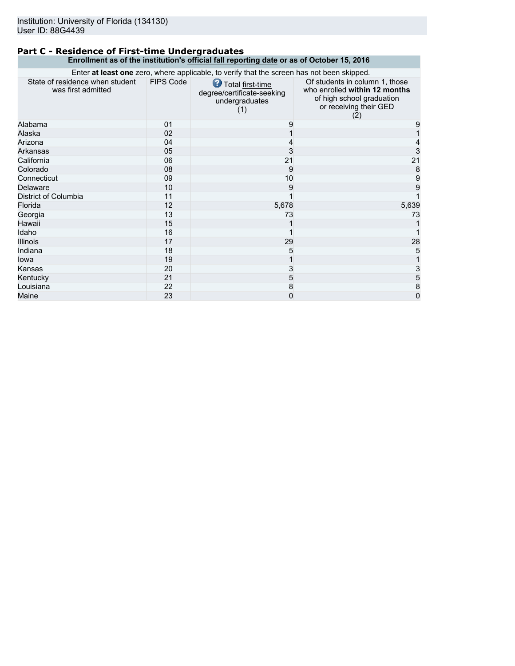### **Part C - Residence of First-time Undergraduates Enrollment as of the institution's official fall reporting date or as of October 15, 2016**

| Enter at least one zero, where applicable, to verify that the screen has not been skipped. |                  |                                                                         |                                                                                                                               |
|--------------------------------------------------------------------------------------------|------------------|-------------------------------------------------------------------------|-------------------------------------------------------------------------------------------------------------------------------|
| State of residence when student<br>was first admitted                                      | <b>FIPS Code</b> | Total first-time<br>degree/certificate-seeking<br>undergraduates<br>(1) | Of students in column 1, those<br>who enrolled within 12 months<br>of high school graduation<br>or receiving their GED<br>(2) |
| Alabama                                                                                    | 01               | 9                                                                       | 9                                                                                                                             |
| Alaska                                                                                     | 02               |                                                                         |                                                                                                                               |
| Arizona                                                                                    | 04               | 4                                                                       |                                                                                                                               |
| Arkansas                                                                                   | 05               | 3                                                                       | 3                                                                                                                             |
| California                                                                                 | 06               | 21                                                                      | 21                                                                                                                            |
| Colorado                                                                                   | 08               | 9                                                                       | 8                                                                                                                             |
| Connecticut                                                                                | 09               | 10                                                                      | 9                                                                                                                             |
| Delaware                                                                                   | 10               | 9                                                                       | 9                                                                                                                             |
| District of Columbia                                                                       | 11               |                                                                         |                                                                                                                               |
| Florida                                                                                    | 12               | 5,678                                                                   | 5,639                                                                                                                         |
| Georgia                                                                                    | 13               | 73                                                                      | 73                                                                                                                            |
| Hawaii                                                                                     | 15               |                                                                         |                                                                                                                               |
| Idaho                                                                                      | 16               |                                                                         |                                                                                                                               |
| <b>Illinois</b>                                                                            | 17               | 29                                                                      | 28                                                                                                                            |
| Indiana                                                                                    | 18               | 5                                                                       | 5                                                                                                                             |
| lowa                                                                                       | 19               |                                                                         |                                                                                                                               |
| Kansas                                                                                     | 20               | 3                                                                       | 3                                                                                                                             |
| Kentucky                                                                                   | 21               | 5                                                                       | 5                                                                                                                             |
| Louisiana                                                                                  | 22               | 8                                                                       | 8                                                                                                                             |
| Maine                                                                                      | 23               | 0                                                                       | $\overline{0}$                                                                                                                |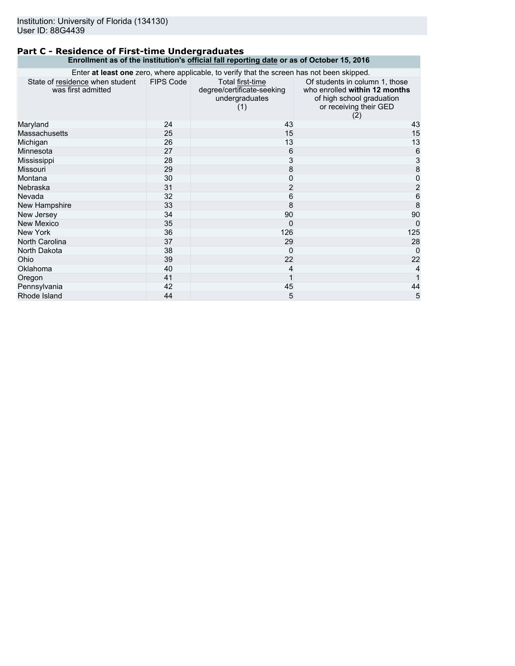### **Part C - Residence of First-time Undergraduates Enrollment as of the institution's official fall reporting date or as of October 15, 2016**

| Enter at least one zero, where applicable, to verify that the screen has not been skipped. |           |                                                                         |                                                                                                                               |
|--------------------------------------------------------------------------------------------|-----------|-------------------------------------------------------------------------|-------------------------------------------------------------------------------------------------------------------------------|
| State of residence when student<br>was first admitted                                      | FIPS Code | Total first-time<br>degree/certificate-seeking<br>undergraduates<br>(1) | Of students in column 1, those<br>who enrolled within 12 months<br>of high school graduation<br>or receiving their GED<br>(2) |
| Maryland                                                                                   | 24        | 43                                                                      | 43                                                                                                                            |
| <b>Massachusetts</b>                                                                       | 25        | 15                                                                      | 15                                                                                                                            |
| Michigan                                                                                   | 26        | 13                                                                      | 13                                                                                                                            |
| Minnesota                                                                                  | 27        | 6                                                                       |                                                                                                                               |
| Mississippi                                                                                | 28        | 3                                                                       | 6<br>3<br>8<br>0                                                                                                              |
| Missouri                                                                                   | 29        | 8                                                                       |                                                                                                                               |
| Montana                                                                                    | 30        | 0                                                                       |                                                                                                                               |
| Nebraska                                                                                   | 31        | $\overline{c}$                                                          | $\overline{2}$                                                                                                                |
| Nevada                                                                                     | 32        | 6                                                                       | $\overline{6}$                                                                                                                |
| New Hampshire                                                                              | 33        | 8                                                                       | $\overline{8}$                                                                                                                |
| New Jersey                                                                                 | 34        | 90                                                                      | 90                                                                                                                            |
| <b>New Mexico</b>                                                                          | 35        | 0                                                                       | $\Omega$                                                                                                                      |
| New York                                                                                   | 36        | 126                                                                     | 125                                                                                                                           |
| North Carolina                                                                             | 37        | 29                                                                      | 28                                                                                                                            |
| North Dakota                                                                               | 38        | $\mathbf{0}$                                                            | $\Omega$                                                                                                                      |
| Ohio                                                                                       | 39        | 22                                                                      | 22                                                                                                                            |
| Oklahoma                                                                                   | 40        | 4                                                                       |                                                                                                                               |
| Oregon                                                                                     | 41        |                                                                         |                                                                                                                               |
| Pennsylvania                                                                               | 42        | 45                                                                      | 44                                                                                                                            |
| Rhode Island                                                                               | 44        | 5                                                                       | 5                                                                                                                             |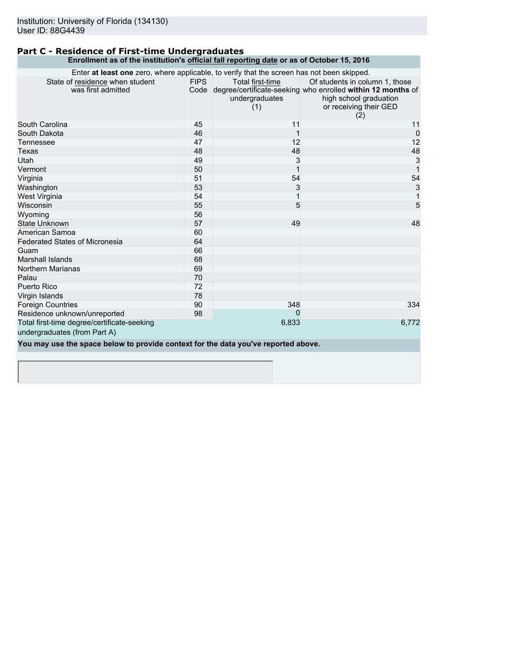#### **Part C - Residence of First-time Undergraduates Enrollment as of the institution's official fall reporting date or as of October 15, 2016**

| Enter at least one zero, where applicable, to verify that the screen has not been skipped. |             |                                           |                                                                                                                                                               |
|--------------------------------------------------------------------------------------------|-------------|-------------------------------------------|---------------------------------------------------------------------------------------------------------------------------------------------------------------|
| State of residence when student<br>was first admitted                                      | <b>FIPS</b> | Total first-time<br>undergraduates<br>(1) | Of students in column 1, those<br>Code degree/certificate-seeking who enrolled within 12 months of<br>high school graduation<br>or receiving their GED<br>(2) |
| South Carolina                                                                             | 45          | 11                                        | 11                                                                                                                                                            |
| South Dakota                                                                               | 46          |                                           | $\mathbf{0}$                                                                                                                                                  |
| Tennessee                                                                                  | 47          | 12                                        | 12                                                                                                                                                            |
| Texas                                                                                      | 48          | 48                                        | 48                                                                                                                                                            |
| Utah                                                                                       | 49          | 3                                         | $\mathbf{3}$                                                                                                                                                  |
| Vermont                                                                                    | 50          |                                           | $\overline{1}$                                                                                                                                                |
| Virginia                                                                                   | 51          | 54                                        | 54                                                                                                                                                            |
| Washington                                                                                 | 53          | 3                                         | 3                                                                                                                                                             |
| West Virginia                                                                              | 54          |                                           |                                                                                                                                                               |
| Wisconsin                                                                                  | 55          | 5                                         | 5                                                                                                                                                             |
| Wyoming                                                                                    | 56          |                                           |                                                                                                                                                               |
| State Unknown                                                                              | 57          | 49                                        | 48                                                                                                                                                            |
| American Samoa                                                                             | 60          |                                           |                                                                                                                                                               |
| <b>Federated States of Micronesia</b>                                                      | 64          |                                           |                                                                                                                                                               |
| Guam                                                                                       | 66          |                                           |                                                                                                                                                               |
| Marshall Islands                                                                           | 68          |                                           |                                                                                                                                                               |
| Northern Marianas                                                                          | 69          |                                           |                                                                                                                                                               |
| Palau                                                                                      | 70          |                                           |                                                                                                                                                               |
| Puerto Rico                                                                                | 72          |                                           |                                                                                                                                                               |
| Virgin Islands                                                                             | 78          |                                           |                                                                                                                                                               |
| <b>Foreign Countries</b>                                                                   | 90          | 348                                       | 334                                                                                                                                                           |
| Residence unknown/unreported                                                               | 98          | 0                                         |                                                                                                                                                               |
| Total first-time degree/certificate-seeking                                                |             | 6,833                                     | 6,772                                                                                                                                                         |
| undergraduates (from Part A)                                                               |             |                                           |                                                                                                                                                               |
| You may use the space below to provide context for the data you've reported above.         |             |                                           |                                                                                                                                                               |
|                                                                                            |             |                                           |                                                                                                                                                               |
|                                                                                            |             |                                           |                                                                                                                                                               |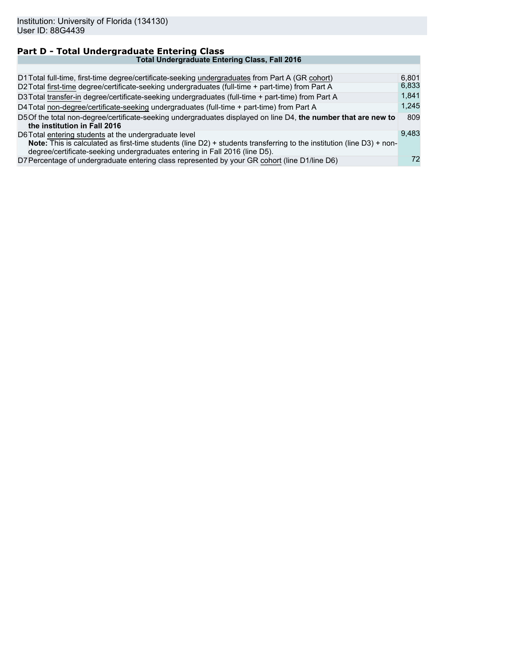#### **Part D - Total Undergraduate Entering Class Total Undergraduate Entering Class, Fall 2016** D1 Total full-time, first-time degree/certificate-seeking undergraduates from Part A (GR cohort) 6,801 D2 Total first-time degree/certificate-seeking undergraduates (full-time + part-time) from Part A 6,833 D2 Total first-time degree/certificate-seeking undergraduates (full-time + part-time) from Part A D3 Total transfer-in degree/certificate-seeking undergraduates (full-time + part-time) from Part A 1,841<br>D4 Total non-degree/certificate-seeking undergraduates (full-time + part-time) from Part A 1,245 D4 Total non-degree/certificate-seeking undergraduates (full-time + part-time) from Part A D5Of the total non-degree/certificate-seeking undergraduates displayed on line D4, **the number that are new to the institution in Fall 2016** 809 D6Total entering students at the undergraduate level **Note:** This is calculated as first-time students (line D2) + students transferring to the institution (line D3) + nondegree/certificate-seeking undergraduates entering in Fall 2016 (line D5). 9,483 D7 Percentage of undergraduate entering class represented by your GR cohort (line D1/line D6) 72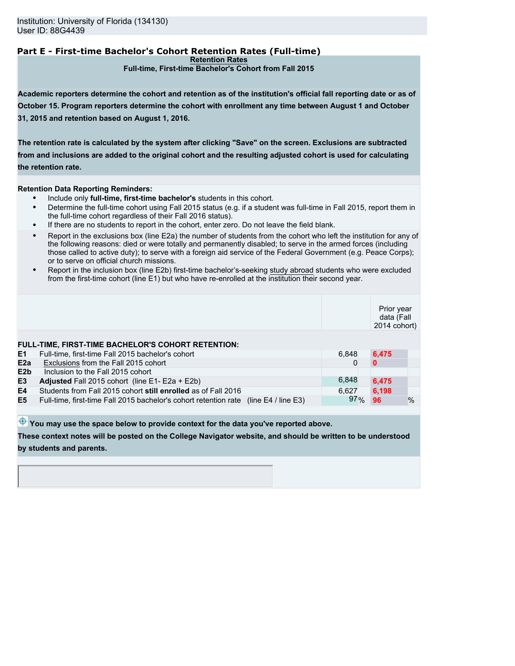# **Part E - First-time Bachelor's Cohort Retention Rates (Full-time)**

**Retention Rates**

**Full-time, First-time Bachelor's Cohort from Fall 2015**

**Academic reporters determine the cohort and retention as of the institution's official fall reporting date or as of October 15. Program reporters determine the cohort with enrollment any time between August 1 and October 31, 2015 and retention based on August 1, 2016.**

**The retention rate is calculated by the system after clicking "Save" on the screen. Exclusions are subtracted from and inclusions are added to the original cohort and the resulting adjusted cohort is used for calculating the retention rate.**

**Retention Data Reporting Reminders:**

- Include only **full-time, first-time bachelor's** students in this cohort.
- Determine the full-time cohort using Fall 2015 status (e.g. if a student was full-time in Fall 2015, report them in the full-time cohort regardless of their Fall 2016 status).
- If there are no students to report in the cohort, enter zero. Do not leave the field blank.
- Report in the exclusions box (line E2a) the number of students from the cohort who left the institution for any of the following reasons: died or were totally and permanently disabled; to serve in the armed forces (including those called to active duty); to serve with a foreign aid service of the Federal Government (e.g. Peace Corps); or to serve on official church missions.
- Report in the inclusion box (line E2b) first-time bachelor's-seeking study abroad students who were excluded from the first-time cohort (line E1) but who have re-enrolled at the institution their second year.

|                  |                                                                                                         |        | Prior year<br>data (Fall<br>2014 cohort) |               |
|------------------|---------------------------------------------------------------------------------------------------------|--------|------------------------------------------|---------------|
| E1               | FULL-TIME, FIRST-TIME BACHELOR'S COHORT RETENTION:<br>Full-time, first-time Fall 2015 bachelor's cohort | 6,848  | 6.475                                    |               |
| E2a              | Exclusions from the Fall 2015 cohort                                                                    |        |                                          |               |
| E <sub>2</sub> b | Inclusion to the Fall 2015 cohort                                                                       |        |                                          |               |
| E <sub>3</sub>   | Adjusted Fall 2015 cohort (line E1- E2a + E2b)                                                          | 6,848  | 6,475                                    |               |
| E4               | Students from Fall 2015 cohort still enrolled as of Fall 2016                                           | 6,627  | 6,198                                    |               |
| E <sub>5</sub>   | Full-time, first-time Fall 2015 bachelor's cohort retention rate (line E4 / line E3)                    | $97\%$ | 96                                       | $\frac{0}{0}$ |
|                  |                                                                                                         |        |                                          |               |

 $\bigoplus$  You may use the space below to provide context for the data you've reported above.

**These context notes will be posted on the College Navigator website, and should be written to be understood by students and parents.**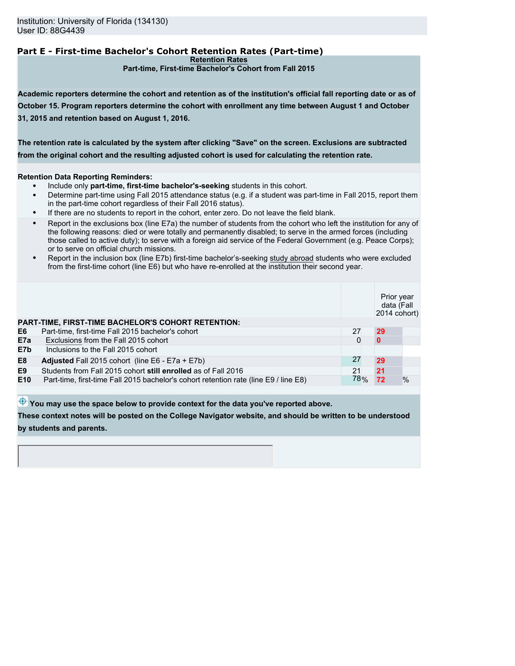# **Part E - First-time Bachelor's Cohort Retention Rates (Part-time)**

**Retention Rates**

**Part-time, First-time Bachelor's Cohort from Fall 2015**

**Academic reporters determine the cohort and retention as of the institution's official fall reporting date or as of October 15. Program reporters determine the cohort with enrollment any time between August 1 and October 31, 2015 and retention based on August 1, 2016.**

**The retention rate is calculated by the system after clicking "Save" on the screen. Exclusions are subtracted from the original cohort and the resulting adjusted cohort is used for calculating the retention rate.**

### **Retention Data Reporting Reminders:**

- Include only **part-time, first-time bachelor's-seeking** students in this cohort.
- Determine part-time using Fall 2015 attendance status (e.g. if a student was part-time in Fall 2015, report them in the part-time cohort regardless of their Fall 2016 status).
- If there are no students to report in the cohort, enter zero. Do not leave the field blank.
- Report in the exclusions box (line E7a) the number of students from the cohort who left the institution for any of the following reasons: died or were totally and permanently disabled; to serve in the armed forces (including those called to active duty); to serve with a foreign aid service of the Federal Government (e.g. Peace Corps); or to serve on official church missions.
- Report in the inclusion box (line E7b) first-time bachelor's-seeking study abroad students who were excluded from the first-time cohort (line E6) but who have re-enrolled at the institution their second year.

|                 |                                                                                      |     | Prior year<br>data (Fall<br>2014 cohort) |               |
|-----------------|--------------------------------------------------------------------------------------|-----|------------------------------------------|---------------|
|                 | <b>PART-TIME, FIRST-TIME BACHELOR'S COHORT RETENTION:</b>                            |     |                                          |               |
| E6              | Part-time, first-time Fall 2015 bachelor's cohort                                    | 27  | 29                                       |               |
| E7a             | Exclusions from the Fall 2015 cohort                                                 | 0   |                                          |               |
| E7b             | Inclusions to the Fall 2015 cohort                                                   |     |                                          |               |
| E <sub>8</sub>  | <b>Adjusted</b> Fall 2015 cohort (line $E6 - E7a + E7b$ )                            | 27  | 29                                       |               |
| E <sub>9</sub>  | Students from Fall 2015 cohort still enrolled as of Fall 2016                        | 21  | 21                                       |               |
| E <sub>10</sub> | Part-time, first-time Fall 2015 bachelor's cohort retention rate (line E9 / line E8) | 78% | 72                                       | $\frac{0}{0}$ |
|                 |                                                                                      |     |                                          |               |

 $\bigoplus$  You may use the space below to provide context for the data you've reported above.

**These context notes will be posted on the College Navigator website, and should be written to be understood by students and parents.**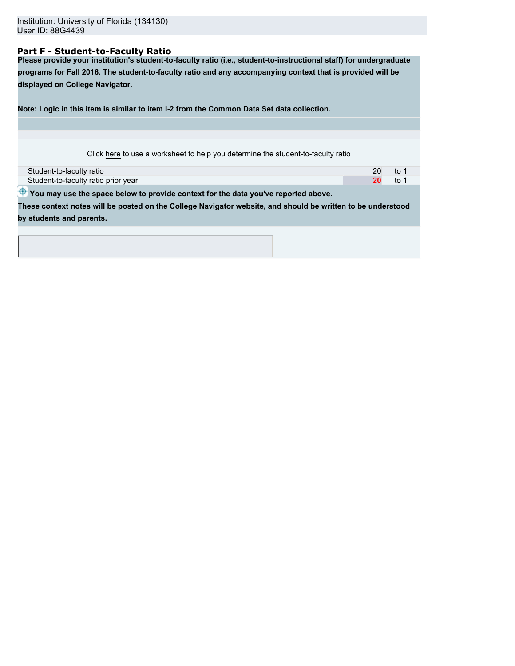### **Part F - Student-to-Faculty Ratio**

**Please provide your institution's student-to-faculty ratio (i.e., student-to-instructional staff) for undergraduate programs for Fall 2016. The student-to-faculty ratio and any accompanying context that is provided will be displayed on College Navigator.**

**Note: Logic in this item is similar to item I-2 from the Common Data Set data collection.**

| Click here to use a worksheet to help you determine the student-to-faculty ratio |  |
|----------------------------------------------------------------------------------|--|
|                                                                                  |  |

| Student-to-faculty ratio            | 20 |      |
|-------------------------------------|----|------|
| Student-to-faculty ratio prior year |    | to 1 |
|                                     |    |      |

 $\bigoplus$  You may use the space below to provide context for the data you've reported above.

**These context notes will be posted on the College Navigator website, and should be written to be understood by students and parents.**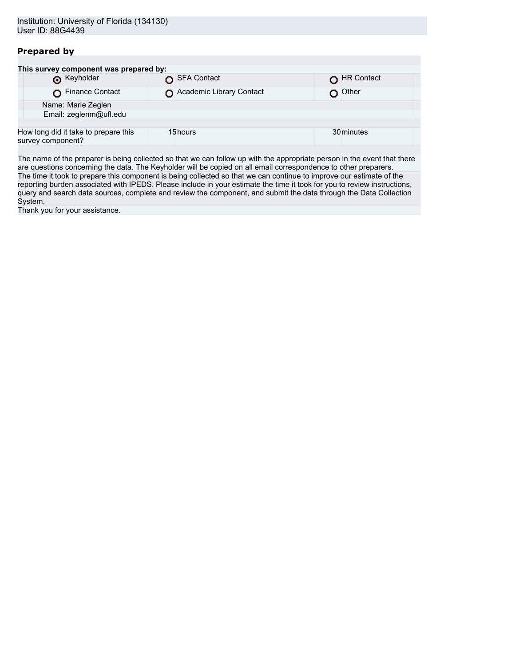# **Prepared by**

| This survey component was prepared by:                    |                          |            |  |  |
|-----------------------------------------------------------|--------------------------|------------|--|--|
| <b>6</b> Keyholder                                        | SFA Contact              | HR Contact |  |  |
| Finance Contact                                           | Academic Library Contact | Other      |  |  |
| Name: Marie Zeglen                                        |                          |            |  |  |
| Email: zeglenm@ufl.edu                                    |                          |            |  |  |
|                                                           |                          |            |  |  |
| How long did it take to prepare this<br>survey component? | 15hours                  | 30 minutes |  |  |
|                                                           |                          |            |  |  |

The name of the preparer is being collected so that we can follow up with the appropriate person in the event that there are questions concerning the data. The Keyholder will be copied on all email correspondence to other preparers. The time it took to prepare this component is being collected so that we can continue to improve our estimate of the reporting burden associated with IPEDS. Please include in your estimate the time it took for you to review instructions, query and search data sources, complete and review the component, and submit the data through the Data Collection System.

Thank you for your assistance.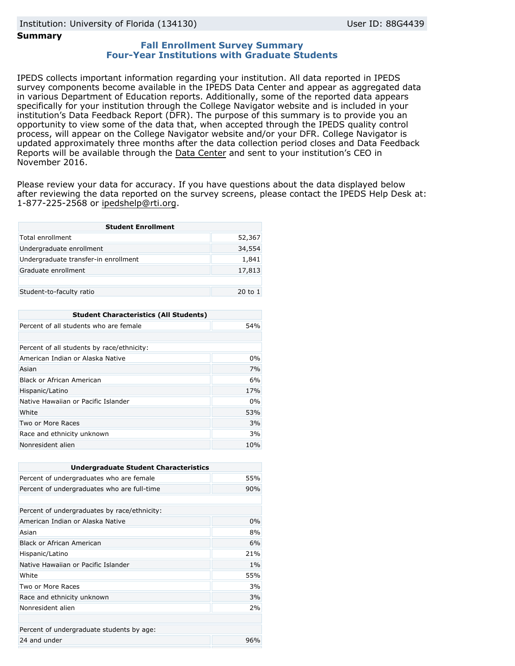### **Summary**

### **Fall Enrollment Survey Summary Four-Year Institutions with Graduate Students**

IPEDS collects important information regarding your institution. All data reported in IPEDS survey components become available in the IPEDS Data Center and appear as aggregated data in various Department of Education reports. Additionally, some of the reported data appears specifically for your institution through the College Navigator website and is included in your institution's Data Feedback Report (DFR). The purpose of this summary is to provide you an opportunity to view some of the data that, when accepted through the IPEDS quality control process, will appear on the College Navigator website and/or your DFR. College Navigator is updated approximately three months after the data collection period closes and Data Feedback Reports will be available through the [Data Center](http://nces.ed.gov/ipeds/datacenter/) and sent to your institution's CEO in November 2016.

Please review your data for accuracy. If you have questions about the data displayed below after reviewing the data reported on the survey screens, please contact the IPEDS Help Desk at: 1-877-225-2568 or ipedshelp@rti.org.

| <b>Student Enrollment</b>            |         |  |
|--------------------------------------|---------|--|
| Total enrollment                     | 52,367  |  |
| Undergraduate enrollment             | 34,554  |  |
| Undergraduate transfer-in enrollment | 1,841   |  |
| Graduate enrollment                  | 17,813  |  |
|                                      |         |  |
| Student-to-faculty ratio             | 20 to 1 |  |

| <b>Student Characteristics (All Students)</b> |     |  |
|-----------------------------------------------|-----|--|
| Percent of all students who are female        | 54% |  |
|                                               |     |  |
| Percent of all students by race/ethnicity:    |     |  |
| American Indian or Alaska Native              | 0%  |  |
| Asian                                         | 7%  |  |
| Black or African American                     | 6%  |  |
| Hispanic/Latino                               | 17% |  |
| Native Hawaiian or Pacific Islander           | 0%  |  |
| White                                         | 53% |  |
| Two or More Races                             | 3%  |  |
| Race and ethnicity unknown                    | 3%  |  |
| Nonresident alien                             | 10% |  |

| <b>Undergraduate Student Characteristics</b> |     |  |
|----------------------------------------------|-----|--|
| Percent of undergraduates who are female     | 55% |  |
| Percent of undergraduates who are full-time  | 90% |  |
|                                              |     |  |
| Percent of undergraduates by race/ethnicity: |     |  |
| American Indian or Alaska Native             | 0%  |  |
| Asian                                        | 8%  |  |
| Black or African American                    | 6%  |  |
| Hispanic/Latino                              | 21% |  |
| Native Hawaiian or Pacific Islander          | 1%  |  |
| White                                        | 55% |  |
| Two or More Races                            | 3%  |  |
| Race and ethnicity unknown                   | 3%  |  |
| Nonresident alien                            | 2%  |  |
|                                              |     |  |
| Percent of undergraduate students by age:    |     |  |
| 24 and under                                 | 96% |  |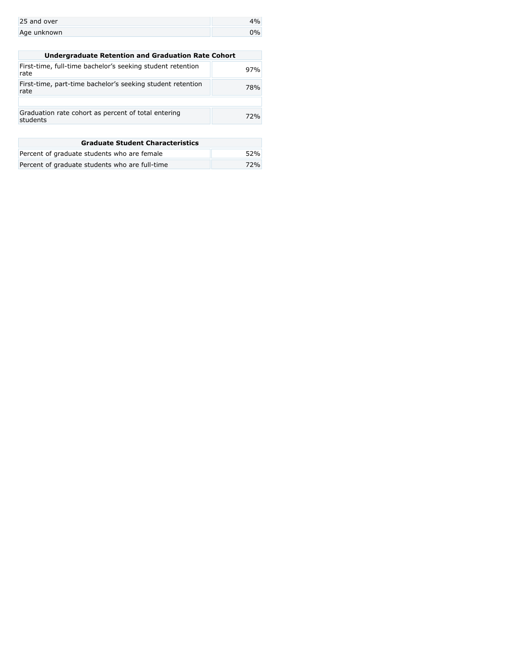| 25 and over |  |
|-------------|--|
| Age unknown |  |

| <b>Undergraduate Retention and Graduation Rate Cohort</b>          |     |  |
|--------------------------------------------------------------------|-----|--|
| First-time, full-time bachelor's seeking student retention<br>rate | 97% |  |
| First-time, part-time bachelor's seeking student retention<br>rate | 78% |  |
|                                                                    |     |  |
| Graduation rate cohort as percent of total entering<br>students    | 72% |  |
|                                                                    |     |  |

| <b>Graduate Student Characteristics</b>        |     |  |
|------------------------------------------------|-----|--|
| Percent of graduate students who are female    | 52% |  |
| Percent of graduate students who are full-time | 72% |  |